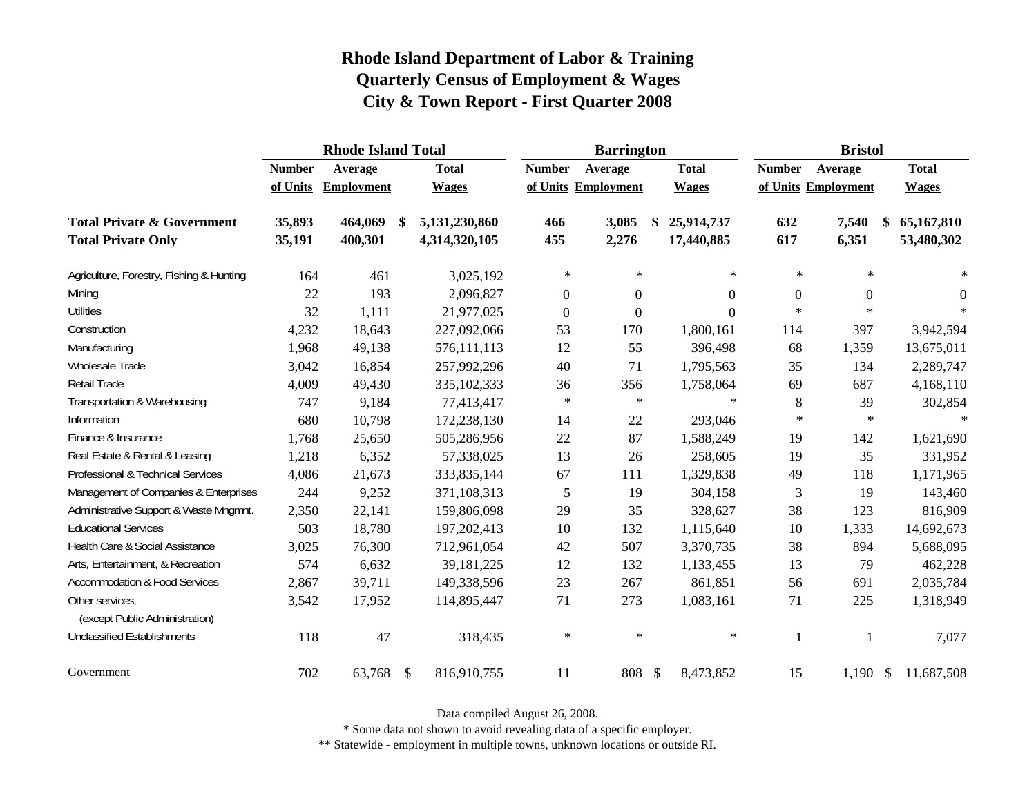|                                                   |               | <b>Rhode Island Total</b> |               |               | <b>Barrington</b> |                     |                  | <b>Bristol</b> |                     |              |
|---------------------------------------------------|---------------|---------------------------|---------------|---------------|-------------------|---------------------|------------------|----------------|---------------------|--------------|
|                                                   | <b>Number</b> | Average                   |               | <b>Total</b>  | <b>Number</b>     | Average             | <b>Total</b>     | <b>Number</b>  | Average             | <b>Total</b> |
|                                                   | of Units      | Employment                |               | <b>Wages</b>  |                   | of Units Employment | <b>Wages</b>     |                | of Units Employment | <b>Wages</b> |
| <b>Total Private &amp; Government</b>             | 35,893        | 464,069                   | -\$           | 5,131,230,860 | 466               | 3,085               | \$<br>25,914,737 | 632            | 7,540               | 65,167,810   |
| <b>Total Private Only</b>                         | 35,191        | 400,301                   |               | 4,314,320,105 | 455               | 2,276               | 17,440,885       | 617            | 6,351               | 53,480,302   |
| Agriculture, Forestry, Fishing & Hunting          | 164           | 461                       |               | 3,025,192     | $\ast$            | $\ast$              | $\ast$           | $\ast$         | $\ast$              | $\ast$       |
| Mining                                            | 22            | 193                       |               | 2,096,827     | $\boldsymbol{0}$  | $\Omega$            | 0                | $\mathbf{0}$   | $\boldsymbol{0}$    | 0            |
| <b>Utilities</b>                                  | 32            | 1,111                     |               | 21,977,025    | $\boldsymbol{0}$  | $\boldsymbol{0}$    | 0                | $\ast$         | $\ast$              | $\ast$       |
| Construction                                      | 4,232         | 18,643                    |               | 227,092,066   | 53                | 170                 | 1,800,161        | 114            | 397                 | 3,942,594    |
| Manufacturing                                     | 1,968         | 49,138                    |               | 576,111,113   | 12                | 55                  | 396,498          | 68             | 1,359               | 13,675,011   |
| Wholesale Trade                                   | 3,042         | 16,854                    |               | 257,992,296   | 40                | 71                  | 1,795,563        | 35             | 134                 | 2,289,747    |
| Retail Trade                                      | 4,009         | 49,430                    |               | 335,102,333   | 36                | 356                 | 1,758,064        | 69             | 687                 | 4,168,110    |
| Transportation & Warehousing                      | 747           | 9,184                     |               | 77,413,417    | $\ast$            | $\ast$              | $\ast$           | 8              | 39                  | 302,854      |
| Information                                       | 680           | 10,798                    |               | 172,238,130   | 14                | 22                  | 293,046          | $\ast$         | $\ast$              | $\ast$       |
| Finance & Insurance                               | 1,768         | 25,650                    |               | 505,286,956   | 22                | 87                  | 1,588,249        | 19             | 142                 | 1,621,690    |
| Real Estate & Rental & Leasing                    | 1,218         | 6,352                     |               | 57,338,025    | 13                | 26                  | 258,605          | 19             | 35                  | 331,952      |
| Professional & Technical Services                 | 4,086         | 21,673                    |               | 333,835,144   | 67                | 111                 | 1,329,838        | 49             | 118                 | 1,171,965    |
| Management of Companies & Enterprises             | 244           | 9,252                     |               | 371,108,313   | 5                 | 19                  | 304,158          | 3              | 19                  | 143,460      |
| Administrative Support & Waste Mngmnt.            | 2,350         | 22,141                    |               | 159,806,098   | 29                | 35                  | 328,627          | 38             | 123                 | 816,909      |
| <b>Educational Services</b>                       | 503           | 18,780                    |               | 197,202,413   | 10                | 132                 | 1,115,640        | 10             | 1,333               | 14,692,673   |
| Health Care & Social Assistance                   | 3,025         | 76,300                    |               | 712,961,054   | 42                | 507                 | 3,370,735        | 38             | 894                 | 5,688,095    |
| Arts, Entertainment, & Recreation                 | 574           | 6,632                     |               | 39,181,225    | 12                | 132                 | 1,133,455        | 13             | 79                  | 462,228      |
| <b>Accommodation &amp; Food Services</b>          | 2,867         | 39,711                    |               | 149,338,596   | 23                | 267                 | 861,851          | 56             | 691                 | 2,035,784    |
| Other services,<br>(except Public Administration) | 3,542         | 17,952                    |               | 114,895,447   | 71                | 273                 | 1,083,161        | 71             | 225                 | 1,318,949    |
| <b>Unclassified Establishments</b>                | 118           | 47                        |               | 318,435       | $\ast$            | $\ast$              | $\ast$           | 1              |                     | 7,077        |
| Government                                        | 702           | 63,768                    | $\mathcal{S}$ | 816,910,755   | 11                | 808 \$              | 8,473,852        | 15             | $1,190$ \$          | 11,687,508   |

Data compiled August 26, 2008.

\* Some data not shown to avoid revealing data of a specific employer.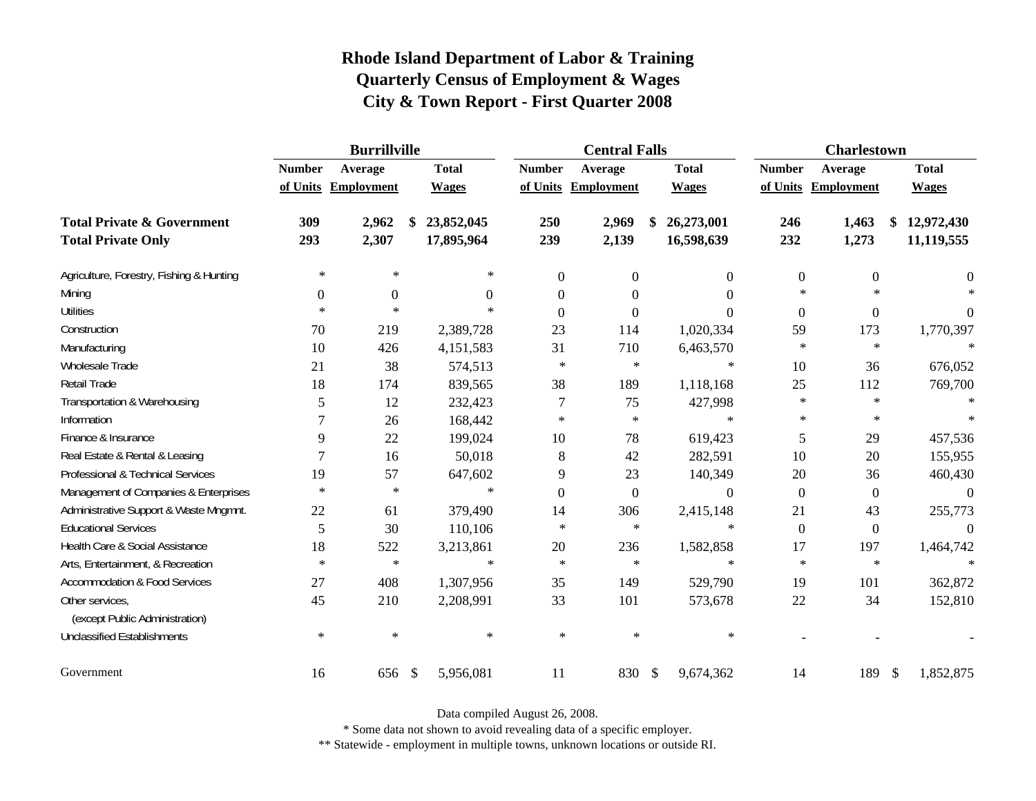|                                                   |                  | <b>Burrillville</b> |               |              |                  | <b>Central Falls</b> |               |                  |                  | <b>Charlestown</b>  |                  |
|---------------------------------------------------|------------------|---------------------|---------------|--------------|------------------|----------------------|---------------|------------------|------------------|---------------------|------------------|
|                                                   | <b>Number</b>    | Average             |               | <b>Total</b> | <b>Number</b>    | Average              |               | <b>Total</b>     | <b>Number</b>    | Average             | <b>Total</b>     |
|                                                   |                  | of Units Employment |               | <b>Wages</b> |                  | of Units Employment  |               | <b>Wages</b>     |                  | of Units Employment | <b>Wages</b>     |
| <b>Total Private &amp; Government</b>             | 309              | 2,962               |               | 23,852,045   | 250              | 2,969                | \$            | 26,273,001       | 246              | 1,463               | \$<br>12,972,430 |
| <b>Total Private Only</b>                         | 293              | 2,307               |               | 17,895,964   | 239              | 2,139                |               | 16,598,639       | 232              | 1,273               | 11,119,555       |
| Agriculture, Forestry, Fishing & Hunting          | $\ast$           | $\ast$              |               | $\ast$       | $\boldsymbol{0}$ | $\boldsymbol{0}$     |               | $\boldsymbol{0}$ | $\boldsymbol{0}$ | $\boldsymbol{0}$    | $\overline{0}$   |
| Mining                                            | $\boldsymbol{0}$ | $\boldsymbol{0}$    |               | $\Omega$     | $\theta$         | $\theta$             |               | $\Omega$         | $\ast$           | $\star$             | $\ast$           |
| <b>Utilities</b>                                  | $\ast$           | $\ast$              |               | $\ast$       | $\Omega$         | $\Omega$             |               | $\Omega$         | $\boldsymbol{0}$ | $\boldsymbol{0}$    | $\theta$         |
| Construction                                      | 70               | 219                 |               | 2,389,728    | 23               | 114                  |               | 1,020,334        | 59               | 173                 | 1,770,397        |
| Manufacturing                                     | 10               | 426                 |               | 4,151,583    | 31               | 710                  |               | 6,463,570        | $\ast$           | $\ast$              | $\ast$           |
| Wholesale Trade                                   | 21               | 38                  |               | 574,513      | $\ast$           | $\ast$               |               | $\ast$           | 10               | 36                  | 676,052          |
| Retail Trade                                      | 18               | 174                 |               | 839,565      | 38               | 189                  |               | 1,118,168        | 25               | 112                 | 769,700          |
| Transportation & Warehousing                      | 5                | 12                  |               | 232,423      | 7                | 75                   |               | 427,998          | $\ast$           | $\ast$              | $\ast$           |
| Information                                       | 7                | 26                  |               | 168,442      | $\ast$           | $\ast$               |               | $\ast$           | $\ast$           | $\ast$              | $\ast$           |
| Finance & Insurance                               | 9                | 22                  |               | 199,024      | 10               | 78                   |               | 619,423          | 5                | 29                  | 457,536          |
| Real Estate & Rental & Leasing                    | 7                | 16                  |               | 50,018       | 8                | 42                   |               | 282,591          | 10               | 20                  | 155,955          |
| Professional & Technical Services                 | 19               | 57                  |               | 647,602      | 9                | 23                   |               | 140,349          | $20\,$           | 36                  | 460,430          |
| Management of Companies & Enterprises             | $\ast$           | $\ast$              |               | $\ast$       | $\Omega$         | $\overline{0}$       |               | $\Omega$         | $\mathbf{0}$     | $\mathbf{0}$        | $\Omega$         |
| Administrative Support & Waste Mngmnt.            | 22               | 61                  |               | 379,490      | 14               | 306                  |               | 2,415,148        | 21               | 43                  | 255,773          |
| <b>Educational Services</b>                       | 5                | 30                  |               | 110,106      | $\ast$           | $\ast$               |               | $\ast$           | $\mathbf{0}$     | $\boldsymbol{0}$    | $\Omega$         |
| Health Care & Social Assistance                   | 18               | 522                 |               | 3,213,861    | 20               | 236                  |               | 1,582,858        | 17               | 197                 | 1,464,742        |
| Arts, Entertainment, & Recreation                 | $\ast$           | $\ast$              |               | $\ast$       | $\ast$           | $\ast$               |               | $\ast$           | $\ast$           | $\ast$              | $\star$          |
| Accommodation & Food Services                     | 27               | 408                 |               | 1,307,956    | 35               | 149                  |               | 529,790          | 19               | 101                 | 362,872          |
| Other services,<br>(except Public Administration) | 45               | 210                 |               | 2,208,991    | 33               | 101                  |               | 573,678          | $22\,$           | 34                  | 152,810          |
| <b>Unclassified Establishments</b>                | $\ast$           | $\ast$              |               | $\ast$       | $\ast$           | $\ast$               |               | $\ast$           |                  |                     |                  |
| Government                                        | 16               | 656                 | $\mathcal{S}$ | 5,956,081    | 11               | 830                  | $\mathcal{S}$ | 9,674,362        | 14               | 189                 | \$<br>1,852,875  |

Data compiled August 26, 2008.

\* Some data not shown to avoid revealing data of a specific employer.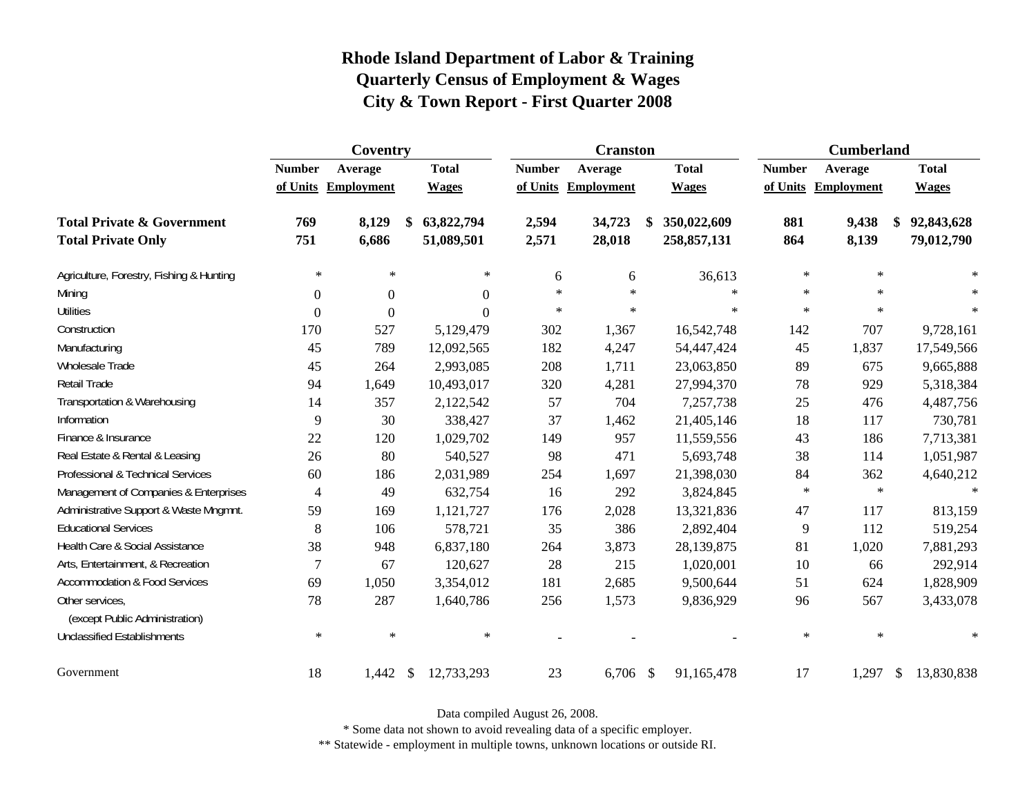|                                                   |                | Coventry            |    |              |               | <b>Cranston</b>     |              |               | <b>Cumberland</b>   |               |              |
|---------------------------------------------------|----------------|---------------------|----|--------------|---------------|---------------------|--------------|---------------|---------------------|---------------|--------------|
|                                                   | <b>Number</b>  | Average             |    | <b>Total</b> | <b>Number</b> | Average             | <b>Total</b> | <b>Number</b> | Average             |               | <b>Total</b> |
|                                                   |                | of Units Employment |    | <b>Wages</b> |               | of Units Employment | <b>Wages</b> |               | of Units Employment |               | <b>Wages</b> |
| <b>Total Private &amp; Government</b>             | 769            | 8,129               | \$ | 63,822,794   | 2,594         | 34,723              | 350,022,609  | 881           | 9,438               |               | 92,843,628   |
| <b>Total Private Only</b>                         | 751            | 6,686               |    | 51,089,501   | 2,571         | 28,018              | 258,857,131  | 864           | 8,139               |               | 79,012,790   |
| Agriculture, Forestry, Fishing & Hunting          | $\ast$         | $\ast$              |    | $\ast$       | 6             | 6                   | 36,613       | $\ast$        | $\ast$              |               |              |
| Mining                                            | 0              | $\boldsymbol{0}$    |    | $\Omega$     | $\ast$        | $\ast$              | $\ast$       | $\ast$        | $\ast$              |               | $\ast$       |
| <b>Utilities</b>                                  | $\theta$       | $\theta$            |    | $\Omega$     | $\ast$        | $\ast$              | $\ast$       | $\ast$        | $\star$             |               | $\ast$       |
| Construction                                      | 170            | 527                 |    | 5,129,479    | 302           | 1,367               | 16,542,748   | 142           | 707                 |               | 9,728,161    |
| Manufacturing                                     | 45             | 789                 |    | 12,092,565   | 182           | 4,247               | 54,447,424   | 45            | 1,837               |               | 17,549,566   |
| <b>Wholesale Trade</b>                            | 45             | 264                 |    | 2,993,085    | 208           | 1,711               | 23,063,850   | 89            | 675                 |               | 9,665,888    |
| Retail Trade                                      | 94             | 1,649               |    | 10,493,017   | 320           | 4,281               | 27,994,370   | 78            | 929                 |               | 5,318,384    |
| Transportation & Warehousing                      | 14             | 357                 |    | 2,122,542    | 57            | 704                 | 7,257,738    | 25            | 476                 |               | 4,487,756    |
| Information                                       | 9              | 30                  |    | 338,427      | 37            | 1,462               | 21,405,146   | 18            | 117                 |               | 730,781      |
| Finance & Insurance                               | 22             | 120                 |    | 1,029,702    | 149           | 957                 | 11,559,556   | 43            | 186                 |               | 7,713,381    |
| Real Estate & Rental & Leasing                    | 26             | 80                  |    | 540,527      | 98            | 471                 | 5,693,748    | 38            | 114                 |               | 1,051,987    |
| Professional & Technical Services                 | 60             | 186                 |    | 2,031,989    | 254           | 1,697               | 21,398,030   | 84            | 362                 |               | 4,640,212    |
| Management of Companies & Enterprises             | $\overline{4}$ | 49                  |    | 632,754      | 16            | 292                 | 3,824,845    | $\ast$        | $\ast$              |               | $\ast$       |
| Administrative Support & Waste Mngmnt.            | 59             | 169                 |    | 1,121,727    | 176           | 2,028               | 13,321,836   | 47            | 117                 |               | 813,159      |
| <b>Educational Services</b>                       | 8              | 106                 |    | 578,721      | 35            | 386                 | 2,892,404    | 9             | 112                 |               | 519,254      |
| Health Care & Social Assistance                   | 38             | 948                 |    | 6,837,180    | 264           | 3,873               | 28,139,875   | 81            | 1,020               |               | 7,881,293    |
| Arts, Entertainment, & Recreation                 | $\overline{7}$ | 67                  |    | 120,627      | 28            | 215                 | 1,020,001    | 10            | 66                  |               | 292,914      |
| Accommodation & Food Services                     | 69             | 1,050               |    | 3,354,012    | 181           | 2,685               | 9,500,644    | 51            | 624                 |               | 1,828,909    |
| Other services,<br>(except Public Administration) | 78             | 287                 |    | 1,640,786    | 256           | 1,573               | 9,836,929    | 96            | 567                 |               | 3,433,078    |
| <b>Unclassified Establishments</b>                | $\ast$         | $\ast$              |    | $\ast$       |               |                     |              | $\ast$        | $\ast$              |               | $\ast$       |
| Government                                        | 18             | 1,442               | -S | 12,733,293   | 23            | $6,706$ \$          | 91,165,478   | 17            | 1,297               | $\mathcal{L}$ | 13,830,838   |

Data compiled August 26, 2008.

\* Some data not shown to avoid revealing data of a specific employer.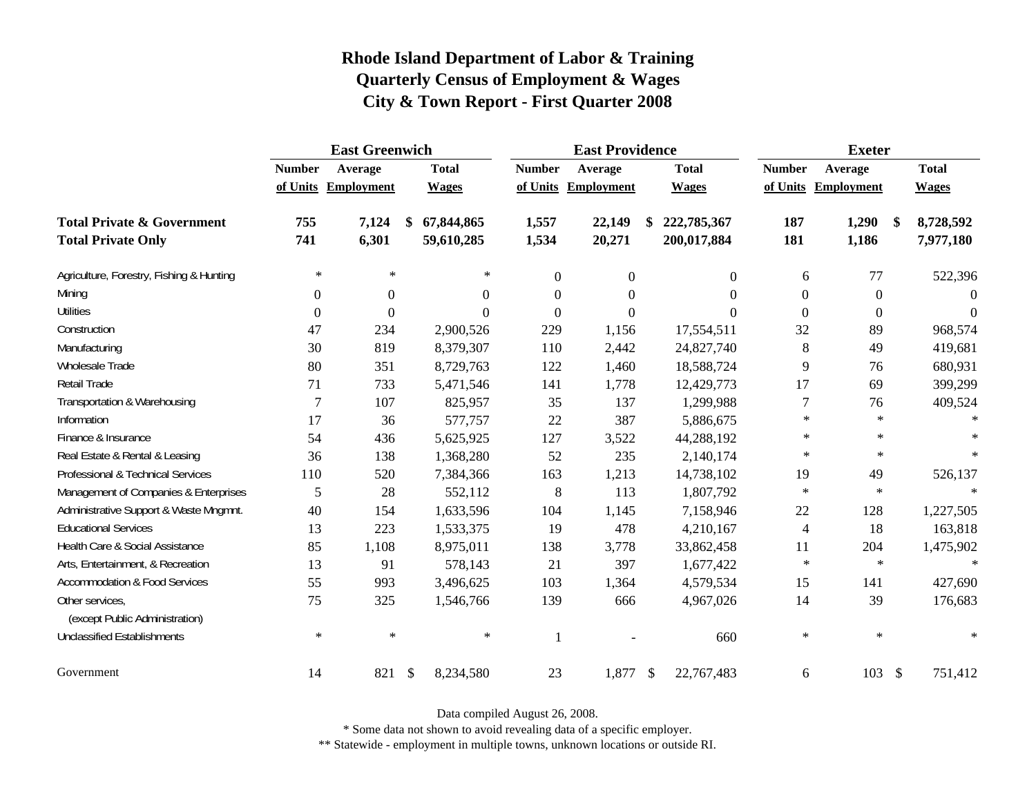|                                                   |               | <b>East Greenwich</b> |               |              | <b>East Providence</b> |                     |               |                  | <b>Exeter</b>    |                     |     |              |
|---------------------------------------------------|---------------|-----------------------|---------------|--------------|------------------------|---------------------|---------------|------------------|------------------|---------------------|-----|--------------|
|                                                   | <b>Number</b> | Average               |               | <b>Total</b> | <b>Number</b>          | Average             |               | <b>Total</b>     | <b>Number</b>    | Average             |     | <b>Total</b> |
|                                                   |               | of Units Employment   |               | <b>Wages</b> |                        | of Units Employment |               | <b>Wages</b>     |                  | of Units Employment |     | <b>Wages</b> |
| <b>Total Private &amp; Government</b>             | 755           | 7,124                 | \$            | 67,844,865   | 1,557                  | 22,149              |               | 222,785,367      | 187              | 1,290               | -\$ | 8,728,592    |
| <b>Total Private Only</b>                         | 741           | 6,301                 |               | 59,610,285   | 1,534                  | 20,271              |               | 200,017,884      | 181              | 1,186               |     | 7,977,180    |
| Agriculture, Forestry, Fishing & Hunting          | $\ast$        | $\ast$                |               | $\ast$       | $\boldsymbol{0}$       | $\boldsymbol{0}$    |               | $\boldsymbol{0}$ | 6                | 77                  |     | 522,396      |
| Mining                                            | $\theta$      | $\boldsymbol{0}$      |               | $\Omega$     | $\theta$               | $\boldsymbol{0}$    |               | $\Omega$         | $\boldsymbol{0}$ | $\overline{0}$      |     | $\Omega$     |
| <b>Utilities</b>                                  | $\mathbf{0}$  | $\theta$              |               | $\Omega$     | $\overline{0}$         | $\boldsymbol{0}$    |               | $\Omega$         | $\boldsymbol{0}$ | $\boldsymbol{0}$    |     | $\Omega$     |
| Construction                                      | 47            | 234                   |               | 2,900,526    | 229                    | 1,156               |               | 17,554,511       | 32               | 89                  |     | 968,574      |
| Manufacturing                                     | 30            | 819                   |               | 8,379,307    | 110                    | 2,442               |               | 24,827,740       | $\, 8$           | 49                  |     | 419,681      |
| Wholesale Trade                                   | 80            | 351                   |               | 8,729,763    | 122                    | 1,460               |               | 18,588,724       | 9                | 76                  |     | 680,931      |
| Retail Trade                                      | 71            | 733                   |               | 5,471,546    | 141                    | 1,778               |               | 12,429,773       | 17               | 69                  |     | 399,299      |
| Transportation & Warehousing                      | 7             | 107                   |               | 825,957      | 35                     | 137                 |               | 1,299,988        | $\tau$           | 76                  |     | 409,524      |
| Information                                       | 17            | 36                    |               | 577,757      | 22                     | 387                 |               | 5,886,675        | $\ast$           | $\ast$              |     | $\ast$       |
| Finance & Insurance                               | 54            | 436                   |               | 5,625,925    | 127                    | 3,522               |               | 44,288,192       | $\ast$           | $\ast$              |     |              |
| Real Estate & Rental & Leasing                    | 36            | 138                   |               | 1,368,280    | 52                     | 235                 |               | 2,140,174        | $\ast$           | $\ast$              |     |              |
| Professional & Technical Services                 | 110           | 520                   |               | 7,384,366    | 163                    | 1,213               |               | 14,738,102       | 19               | 49                  |     | 526,137      |
| Management of Companies & Enterprises             | 5             | 28                    |               | 552,112      | 8                      | 113                 |               | 1,807,792        | $\ast$           | $\ast$              |     | $\ast$       |
| Administrative Support & Waste Mngmnt.            | 40            | 154                   |               | 1,633,596    | 104                    | 1,145               |               | 7,158,946        | 22               | 128                 |     | 1,227,505    |
| <b>Educational Services</b>                       | 13            | 223                   |               | 1,533,375    | 19                     | 478                 |               | 4,210,167        | $\overline{4}$   | 18                  |     | 163,818      |
| Health Care & Social Assistance                   | 85            | 1,108                 |               | 8,975,011    | 138                    | 3,778               |               | 33,862,458       | 11               | 204                 |     | 1,475,902    |
| Arts, Entertainment, & Recreation                 | 13            | 91                    |               | 578,143      | 21                     | 397                 |               | 1,677,422        | $\ast$           | $\ast$              |     | $\star$      |
| Accommodation & Food Services                     | 55            | 993                   |               | 3,496,625    | 103                    | 1,364               |               | 4,579,534        | 15               | 141                 |     | 427,690      |
| Other services,<br>(except Public Administration) | 75            | 325                   |               | 1,546,766    | 139                    | 666                 |               | 4,967,026        | 14               | 39                  |     | 176,683      |
| <b>Unclassified Establishments</b>                | $\ast$        | $\ast$                |               | $\ast$       | 1                      |                     |               | 660              | $\ast$           | $\ast$              |     |              |
| Government                                        | 14            | 821                   | $\mathcal{S}$ | 8,234,580    | 23                     | 1,877               | $\frac{1}{2}$ | 22,767,483       | 6                | $103 \text{ }$ \$   |     | 751,412      |

Data compiled August 26, 2008.

\* Some data not shown to avoid revealing data of a specific employer.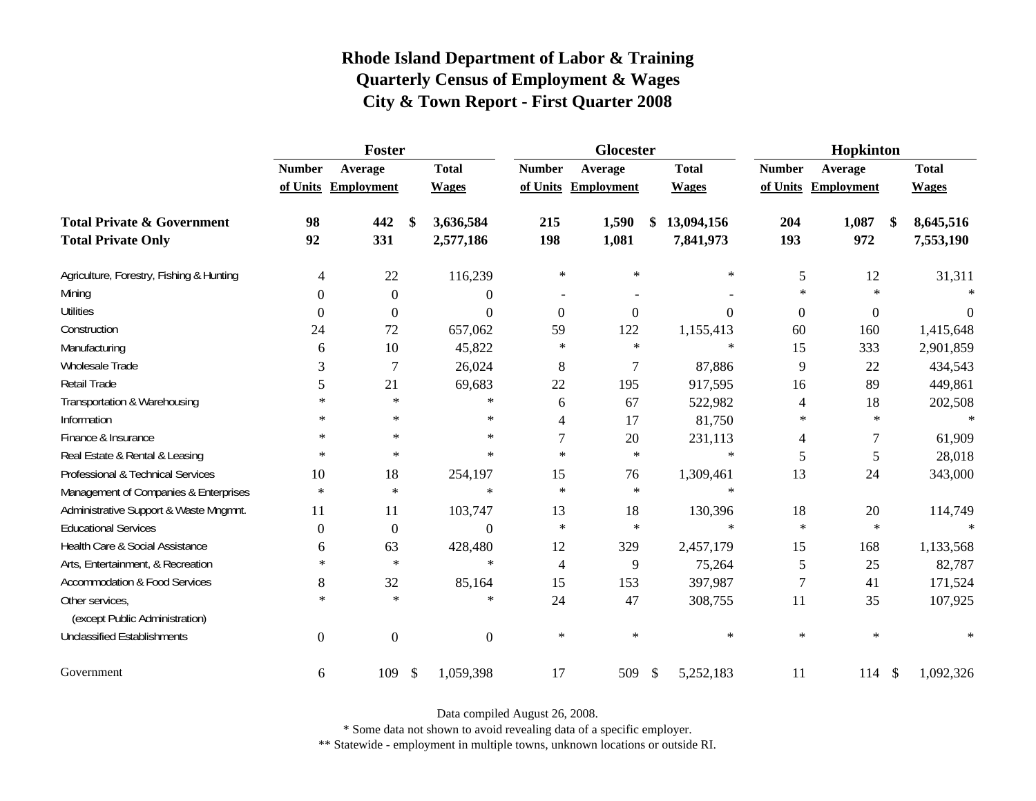|                                                   |                  | <b>Foster</b>       |               |                  | Glocester      |                   |               |                | Hopkinton        |                     |                   |              |
|---------------------------------------------------|------------------|---------------------|---------------|------------------|----------------|-------------------|---------------|----------------|------------------|---------------------|-------------------|--------------|
|                                                   | <b>Number</b>    | Average             |               | <b>Total</b>     | <b>Number</b>  | Average           |               | <b>Total</b>   | <b>Number</b>    | Average             |                   | <b>Total</b> |
|                                                   |                  | of Units Employment |               | <b>Wages</b>     | of Units       | <b>Employment</b> |               | <b>Wages</b>   |                  | of Units Employment |                   | <b>Wages</b> |
| <b>Total Private &amp; Government</b>             | 98               | 442                 | \$            | 3,636,584        | 215            | 1,590             | \$            | 13,094,156     | 204              | 1,087               | $\boldsymbol{\$}$ | 8,645,516    |
| <b>Total Private Only</b>                         | 92               | 331                 |               | 2,577,186        | 198            | 1,081             |               | 7,841,973      | 193              | 972                 |                   | 7,553,190    |
| Agriculture, Forestry, Fishing & Hunting          | 4                | $22\,$              |               | 116,239          | $\ast$         | $\ast$            |               | $\ast$         | 5                | 12                  |                   | 31,311       |
| Mining                                            | $\Omega$         | $\boldsymbol{0}$    |               | $\overline{0}$   |                |                   |               |                | $\ast$           | $\star$             |                   |              |
| <b>Utilities</b>                                  | $\boldsymbol{0}$ | $\boldsymbol{0}$    |               | $\boldsymbol{0}$ | $\mathbf{0}$   | $\mathbf{0}$      |               | $\overline{0}$ | $\boldsymbol{0}$ | $\boldsymbol{0}$    |                   | $\theta$     |
| Construction                                      | 24               | 72                  |               | 657,062          | 59             | 122               |               | 1,155,413      | 60               | 160                 |                   | 1,415,648    |
| Manufacturing                                     | 6                | 10                  |               | 45,822           | $\ast$         | $\ast$            |               | $\ast$         | 15               | 333                 |                   | 2,901,859    |
| Wholesale Trade                                   | 3                | $\overline{7}$      |               | 26,024           | 8              | $\overline{7}$    |               | 87,886         | 9                | 22                  |                   | 434,543      |
| Retail Trade                                      | 5                | 21                  |               | 69,683           | 22             | 195               |               | 917,595        | 16               | 89                  |                   | 449,861      |
| Transportation & Warehousing                      | $\ast$           | $\ast$              |               | $\ast$           | 6              | 67                |               | 522,982        | 4                | 18                  |                   | 202,508      |
| Information                                       | $\ast$           | $\ast$              |               | $\ast$           | 4              | 17                |               | 81,750         | $\ast$           | $\ast$              |                   | $\ast$       |
| Finance & Insurance                               | $\ast$           | $\ast$              |               | $\ast$           | 7              | 20                |               | 231,113        | 4                | $\tau$              |                   | 61,909       |
| Real Estate & Rental & Leasing                    | $\ast$           | $\ast$              |               | $\ast$           | $\ast$         | $\ast$            |               | $\ast$         | 5                | 5                   |                   | 28,018       |
| Professional & Technical Services                 | 10               | 18                  |               | 254,197          | 15             | 76                |               | 1,309,461      | 13               | 24                  |                   | 343,000      |
| Management of Companies & Enterprises             | $\ast$           | $\ast$              |               | $\ast$           | $\ast$         | $\ast$            |               | $\ast$         |                  |                     |                   |              |
| Administrative Support & Waste Mngmnt.            | 11               | 11                  |               | 103,747          | 13             | 18                |               | 130,396        | 18               | 20                  |                   | 114,749      |
| <b>Educational Services</b>                       | $\Omega$         | $\boldsymbol{0}$    |               | $\Omega$         | $\star$        | $\ast$            |               | $\ast$         | $\ast$           | $\ast$              |                   |              |
| Health Care & Social Assistance                   | 6                | 63                  |               | 428,480          | 12             | 329               |               | 2,457,179      | 15               | 168                 |                   | 1,133,568    |
| Arts, Entertainment, & Recreation                 | $\ast$           | $\ast$              |               | $\ast$           | $\overline{4}$ | 9                 |               | 75,264         | 5                | 25                  |                   | 82,787       |
| <b>Accommodation &amp; Food Services</b>          | 8                | 32                  |               | 85,164           | 15             | 153               |               | 397,987        | $\tau$           | 41                  |                   | 171,524      |
| Other services,<br>(except Public Administration) | $\ast$           | $\ast$              |               | $\ast$           | 24             | 47                |               | 308,755        | 11               | 35                  |                   | 107,925      |
| <b>Unclassified Establishments</b>                | $\overline{0}$   | $\boldsymbol{0}$    |               | $\Omega$         | $\ast$         | $\ast$            |               | $\ast$         | $\ast$           | $\ast$              |                   | $\ast$       |
| Government                                        | 6                | 109                 | $\mathcal{S}$ | 1,059,398        | 17             | 509               | $\frac{1}{2}$ | 5,252,183      | 11               | 114S                |                   | 1,092,326    |

Data compiled August 26, 2008.

\* Some data not shown to avoid revealing data of a specific employer.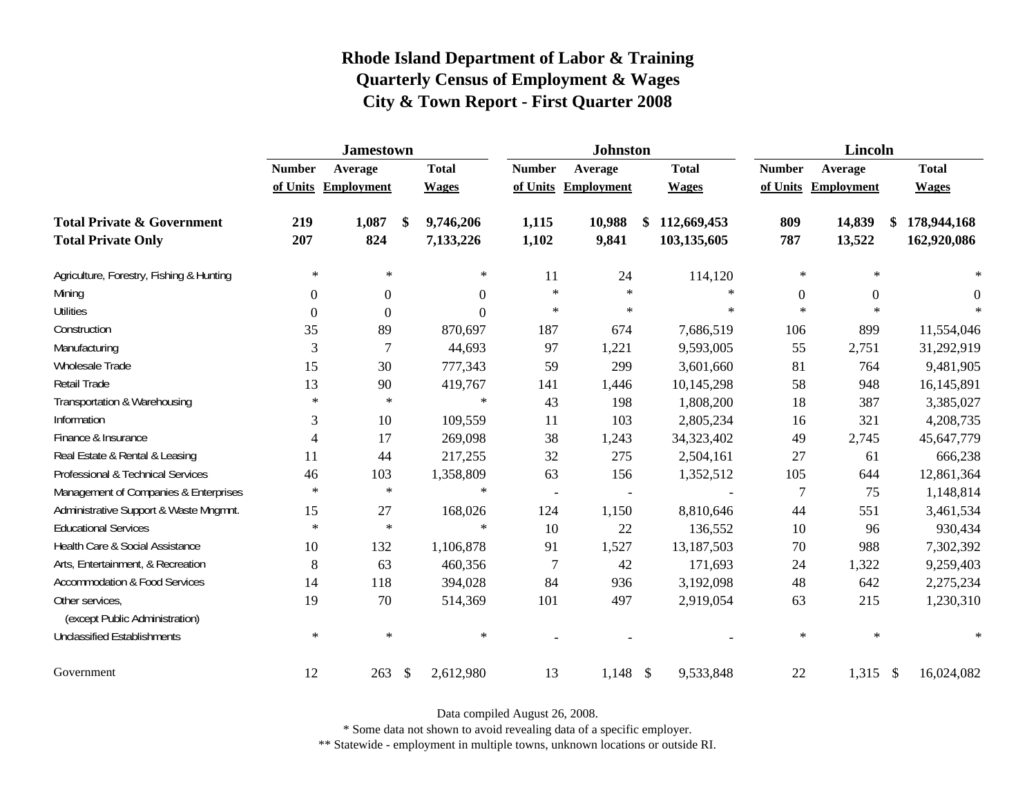|                                                   |               | <b>Jamestown</b>    |                           |                |                          | <b>Johnston</b>   |                   |               | <b>Lincoln</b>      |                   |
|---------------------------------------------------|---------------|---------------------|---------------------------|----------------|--------------------------|-------------------|-------------------|---------------|---------------------|-------------------|
|                                                   | <b>Number</b> | Average             |                           | <b>Total</b>   | <b>Number</b>            | Average           | <b>Total</b>      | <b>Number</b> | Average             | <b>Total</b>      |
|                                                   |               | of Units Employment |                           | <b>Wages</b>   | of Units                 | <b>Employment</b> | <b>Wages</b>      |               | of Units Employment | <b>Wages</b>      |
| <b>Total Private &amp; Government</b>             | 219           | 1,087               | \$                        | 9,746,206      | 1,115                    | 10,988            | \$<br>112,669,453 | 809           | 14,839              | \$<br>178,944,168 |
| <b>Total Private Only</b>                         | 207           | 824                 |                           | 7,133,226      | 1,102                    | 9,841             | 103,135,605       | 787           | 13,522              | 162,920,086       |
| Agriculture, Forestry, Fishing & Hunting          | $\ast$        | $\ast$              |                           | $\ast$         | 11                       | 24                | 114,120           | $\ast$        | $\ast$              |                   |
| Mining                                            | $\Omega$      | $\boldsymbol{0}$    |                           | $\overline{0}$ | $\ast$                   | $\ast$            | $\ast$            | $\theta$      | $\overline{0}$      | $\Omega$          |
| <b>Utilities</b>                                  | $\mathbf{0}$  | $\theta$            |                           | $\Omega$       | $\ast$                   | $\ast$            | $\ast$            | $\star$       | $\star$             |                   |
| Construction                                      | 35            | 89                  |                           | 870,697        | 187                      | 674               | 7,686,519         | 106           | 899                 | 11,554,046        |
| Manufacturing                                     | 3             | $\overline{7}$      |                           | 44,693         | 97                       | 1,221             | 9,593,005         | 55            | 2,751               | 31,292,919        |
| Wholesale Trade                                   | 15            | 30                  |                           | 777,343        | 59                       | 299               | 3,601,660         | 81            | 764                 | 9,481,905         |
| Retail Trade                                      | 13            | 90                  |                           | 419,767        | 141                      | 1,446             | 10,145,298        | 58            | 948                 | 16,145,891        |
| Transportation & Warehousing                      | $\ast$        | $\ast$              |                           | $\ast$         | 43                       | 198               | 1,808,200         | 18            | 387                 | 3,385,027         |
| Information                                       | 3             | 10                  |                           | 109,559        | 11                       | 103               | 2,805,234         | 16            | 321                 | 4,208,735         |
| Finance & Insurance                               | 4             | 17                  |                           | 269,098        | 38                       | 1,243             | 34,323,402        | 49            | 2,745               | 45,647,779        |
| Real Estate & Rental & Leasing                    | 11            | 44                  |                           | 217,255        | 32                       | 275               | 2,504,161         | 27            | 61                  | 666,238           |
| Professional & Technical Services                 | 46            | 103                 |                           | 1,358,809      | 63                       | 156               | 1,352,512         | 105           | 644                 | 12,861,364        |
| Management of Companies & Enterprises             | $\ast$        | $\ast$              |                           | $\ast$         | $\overline{\phantom{a}}$ |                   |                   | $\tau$        | 75                  | 1,148,814         |
| Administrative Support & Waste Mngmnt.            | 15            | 27                  |                           | 168,026        | 124                      | 1,150             | 8,810,646         | 44            | 551                 | 3,461,534         |
| <b>Educational Services</b>                       | $\ast$        | $\ast$              |                           | $\ast$         | 10                       | 22                | 136,552           | 10            | 96                  | 930,434           |
| Health Care & Social Assistance                   | 10            | 132                 |                           | 1,106,878      | 91                       | 1,527             | 13,187,503        | $70\,$        | 988                 | 7,302,392         |
| Arts, Entertainment, & Recreation                 | 8             | 63                  |                           | 460,356        | $\overline{7}$           | 42                | 171,693           | 24            | 1,322               | 9,259,403         |
| <b>Accommodation &amp; Food Services</b>          | 14            | 118                 |                           | 394,028        | 84                       | 936               | 3,192,098         | 48            | 642                 | 2,275,234         |
| Other services,<br>(except Public Administration) | 19            | 70                  |                           | 514,369        | 101                      | 497               | 2,919,054         | 63            | 215                 | 1,230,310         |
| <b>Unclassified Establishments</b>                | $\ast$        | $\ast$              |                           | $\ast$         |                          |                   |                   | $\ast$        | $\ast$              | $\ast$            |
| Government                                        | 12            | 263                 | $\boldsymbol{\mathsf{S}}$ | 2,612,980      | 13                       | $1,148$ \$        | 9,533,848         | 22            | $1,315$ \$          | 16,024,082        |

Data compiled August 26, 2008.

\* Some data not shown to avoid revealing data of a specific employer.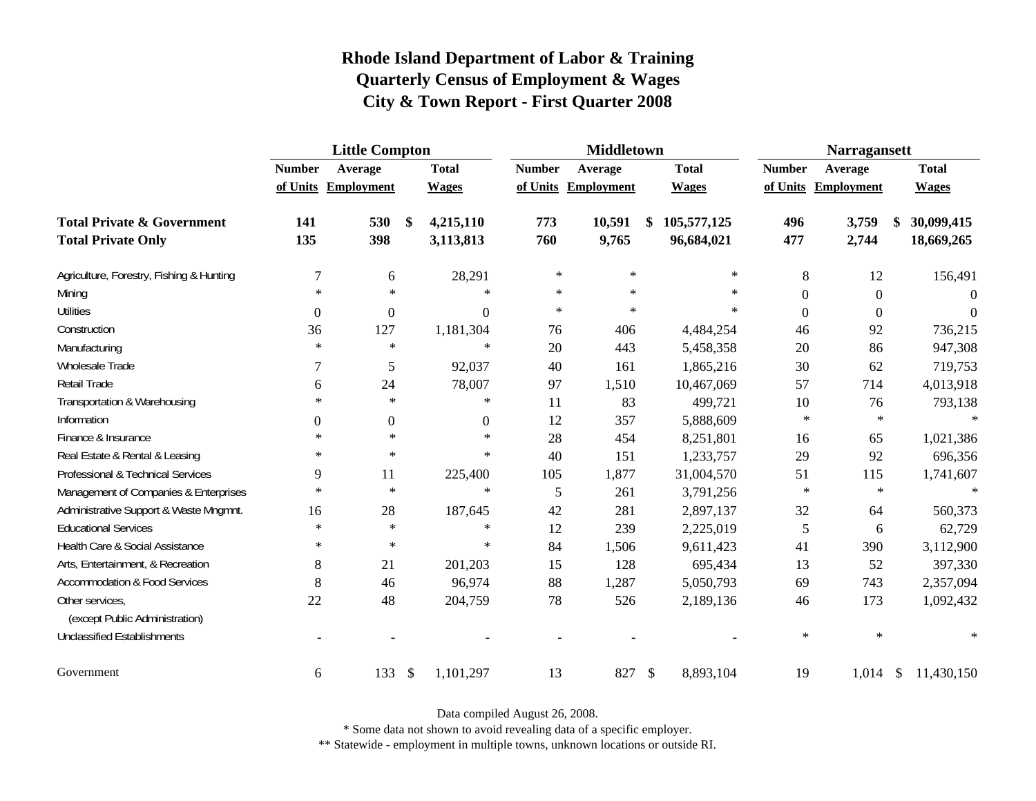|                                                   | <b>Little Compton</b> |                     |                           |                |               | <b>Middletown</b>   |              |                | <b>Narragansett</b> |                           |              |
|---------------------------------------------------|-----------------------|---------------------|---------------------------|----------------|---------------|---------------------|--------------|----------------|---------------------|---------------------------|--------------|
|                                                   | <b>Number</b>         | Average             |                           | <b>Total</b>   | <b>Number</b> | Average             | <b>Total</b> | <b>Number</b>  | Average             |                           | <b>Total</b> |
|                                                   |                       | of Units Employment |                           | <b>Wages</b>   |               | of Units Employment | <b>Wages</b> |                | of Units Employment |                           | <b>Wages</b> |
| <b>Total Private &amp; Government</b>             | 141                   | 530                 | \$                        | 4,215,110      | 773           | 10,591              | 105,577,125  | 496            | 3,759               |                           | 30,099,415   |
| <b>Total Private Only</b>                         | 135                   | 398                 |                           | 3,113,813      | 760           | 9,765               | 96,684,021   | 477            | 2,744               |                           | 18,669,265   |
| Agriculture, Forestry, Fishing & Hunting          | $\overline{7}$        | 6                   |                           | 28,291         | $\ast$        | $\ast$              | $\ast$       | 8              | 12                  |                           | 156,491      |
| Mining                                            | $\ast$                | $\ast$              |                           | $\ast$         | $\ast$        | $\ast$              | $\ast$       | $\overline{0}$ | $\boldsymbol{0}$    |                           | $\Omega$     |
| <b>Utilities</b>                                  | $\boldsymbol{0}$      | $\boldsymbol{0}$    |                           | $\overline{0}$ | $\ast$        | $\ast$              | $\ast$       | $\overline{0}$ | $\boldsymbol{0}$    |                           | $\Omega$     |
| Construction                                      | 36                    | 127                 |                           | 1,181,304      | 76            | 406                 | 4,484,254    | 46             | 92                  |                           | 736,215      |
| Manufacturing                                     | $\ast$                | $\ast$              |                           | $\ast$         | 20            | 443                 | 5,458,358    | 20             | 86                  |                           | 947,308      |
| Wholesale Trade                                   | 7                     | 5                   |                           | 92,037         | 40            | 161                 | 1,865,216    | 30             | 62                  |                           | 719,753      |
| Retail Trade                                      | 6                     | 24                  |                           | 78,007         | 97            | 1,510               | 10,467,069   | 57             | 714                 |                           | 4,013,918    |
| Transportation & Warehousing                      | $\ast$                | $\ast$              |                           | $\ast$         | 11            | 83                  | 499,721      | 10             | 76                  |                           | 793,138      |
| Information                                       | $\boldsymbol{0}$      | $\boldsymbol{0}$    |                           | $\mathbf{0}$   | 12            | 357                 | 5,888,609    | $\ast$         | $\ast$              |                           | $\ast$       |
| Finance & Insurance                               | $\ast$                | $\ast$              |                           | $\ast$         | 28            | 454                 | 8,251,801    | 16             | 65                  |                           | 1,021,386    |
| Real Estate & Rental & Leasing                    | $\ast$                | $\ast$              |                           | $\ast$         | 40            | 151                 | 1,233,757    | 29             | 92                  |                           | 696,356      |
| Professional & Technical Services                 | 9                     | 11                  |                           | 225,400        | 105           | 1,877               | 31,004,570   | 51             | 115                 |                           | 1,741,607    |
| Management of Companies & Enterprises             | $\ast$                | $\ast$              |                           | $\ast$         | 5             | 261                 | 3,791,256    | $\ast$         | $\ast$              |                           | $\ast$       |
| Administrative Support & Waste Mngmnt.            | 16                    | 28                  |                           | 187,645        | 42            | 281                 | 2,897,137    | 32             | 64                  |                           | 560,373      |
| <b>Educational Services</b>                       | $\ast$                | $\ast$              |                           | $\ast$         | 12            | 239                 | 2,225,019    | 5              | 6                   |                           | 62,729       |
| Health Care & Social Assistance                   | $\ast$                | $\ast$              |                           | $\ast$         | 84            | 1,506               | 9,611,423    | 41             | 390                 |                           | 3,112,900    |
| Arts, Entertainment, & Recreation                 | $\,8\,$               | 21                  |                           | 201,203        | 15            | 128                 | 695,434      | 13             | 52                  |                           | 397,330      |
| <b>Accommodation &amp; Food Services</b>          | 8                     | 46                  |                           | 96,974         | 88            | 1,287               | 5,050,793    | 69             | 743                 |                           | 2,357,094    |
| Other services,<br>(except Public Administration) | 22                    | 48                  |                           | 204,759        | 78            | 526                 | 2,189,136    | 46             | 173                 |                           | 1,092,432    |
| <b>Unclassified Establishments</b>                |                       |                     |                           |                |               |                     |              | $\ast$         | $\ast$              |                           | $\ast$       |
| Government                                        | 6                     | 133                 | $\boldsymbol{\mathsf{S}}$ | 1,101,297      | 13            | 827 \$              | 8,893,104    | 19             | 1,014               | $\boldsymbol{\mathsf{S}}$ | 11,430,150   |

Data compiled August 26, 2008.

\* Some data not shown to avoid revealing data of a specific employer.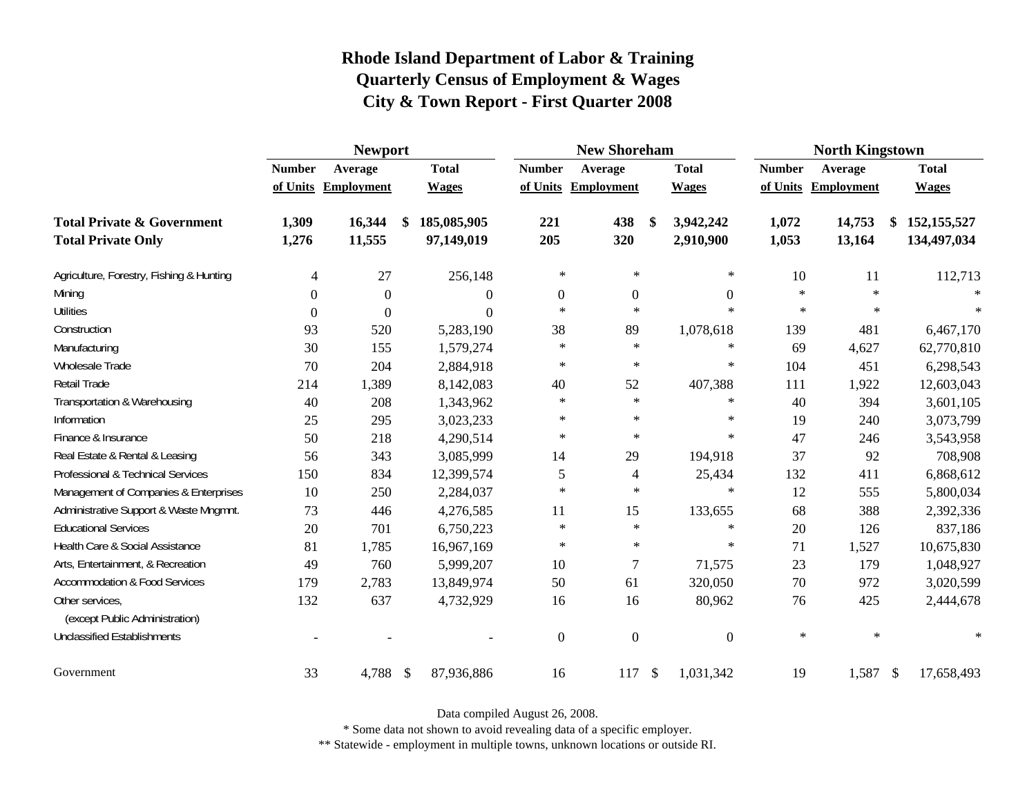|                                                   |               | <b>Newport</b>      |    |              | <b>New Shoreham</b> |                  |                           |                  | <b>North Kingstown</b> |            |                     |
|---------------------------------------------------|---------------|---------------------|----|--------------|---------------------|------------------|---------------------------|------------------|------------------------|------------|---------------------|
|                                                   | <b>Number</b> | Average             |    | <b>Total</b> | <b>Number</b>       | Average          |                           | <b>Total</b>     | <b>Number</b>          | Average    | <b>Total</b>        |
|                                                   |               | of Units Employment |    | <b>Wages</b> | of Units            | Employment       |                           | <b>Wages</b>     | of Units               | Employment | <b>Wages</b>        |
| <b>Total Private &amp; Government</b>             | 1,309         | 16,344              | \$ | 185,085,905  | 221                 | 438              | \$                        | 3,942,242        | 1,072                  | 14,753     | \$<br>152, 155, 527 |
| <b>Total Private Only</b>                         | 1,276         | 11,555              |    | 97,149,019   | 205                 | 320              |                           | 2,910,900        | 1,053                  | 13,164     | 134,497,034         |
| Agriculture, Forestry, Fishing & Hunting          | 4             | 27                  |    | 256,148      | $\star$             | $\ast$           |                           | $\ast$           | 10                     | 11         | 112,713             |
| Mining                                            | $\Omega$      | $\Omega$            |    | 0            | $\mathbf{0}$        | $\boldsymbol{0}$ |                           | $\boldsymbol{0}$ | $\ast$                 | $\ast$     |                     |
| <b>Utilities</b>                                  | $\Omega$      | $\theta$            |    | $\theta$     | $\ast$              | $\ast$           |                           | $\ast$           | $\ast$                 | $\ast$     | $\star$             |
| Construction                                      | 93            | 520                 |    | 5,283,190    | 38                  | 89               |                           | 1,078,618        | 139                    | 481        | 6,467,170           |
| Manufacturing                                     | 30            | 155                 |    | 1,579,274    | $\ast$              | $\ast$           |                           | $\ast$           | 69                     | 4,627      | 62,770,810          |
| Wholesale Trade                                   | 70            | 204                 |    | 2,884,918    | $\ast$              | $\ast$           |                           | $\ast$           | 104                    | 451        | 6,298,543           |
| Retail Trade                                      | 214           | 1,389               |    | 8,142,083    | 40                  | 52               |                           | 407,388          | 111                    | 1,922      | 12,603,043          |
| Transportation & Warehousing                      | 40            | 208                 |    | 1,343,962    | $\ast$              | $\ast$           |                           | $\ast$           | 40                     | 394        | 3,601,105           |
| Information                                       | 25            | 295                 |    | 3,023,233    | $\ast$              | $\ast$           |                           | $\ast$           | 19                     | 240        | 3,073,799           |
| Finance & Insurance                               | 50            | 218                 |    | 4,290,514    | $\star$             | $\ast$           |                           | $\ast$           | 47                     | 246        | 3,543,958           |
| Real Estate & Rental & Leasing                    | 56            | 343                 |    | 3,085,999    | 14                  | 29               |                           | 194,918          | 37                     | 92         | 708,908             |
| Professional & Technical Services                 | 150           | 834                 |    | 12,399,574   | 5                   | $\overline{4}$   |                           | 25,434           | 132                    | 411        | 6,868,612           |
| Management of Companies & Enterprises             | 10            | 250                 |    | 2,284,037    | $\star$             | $\ast$           |                           | $\ast$           | 12                     | 555        | 5,800,034           |
| Administrative Support & Waste Mngmnt.            | 73            | 446                 |    | 4,276,585    | 11                  | 15               |                           | 133,655          | 68                     | 388        | 2,392,336           |
| <b>Educational Services</b>                       | 20            | 701                 |    | 6,750,223    | $\ast$              | $\ast$           |                           | $\ast$           | 20                     | 126        | 837,186             |
| Health Care & Social Assistance                   | 81            | 1,785               |    | 16,967,169   | $\ast$              | $\ast$           |                           | $\ast$           | 71                     | 1,527      | 10,675,830          |
| Arts, Entertainment, & Recreation                 | 49            | 760                 |    | 5,999,207    | 10                  | $\overline{7}$   |                           | 71,575           | 23                     | 179        | 1,048,927           |
| <b>Accommodation &amp; Food Services</b>          | 179           | 2,783               |    | 13,849,974   | 50                  | 61               |                           | 320,050          | 70                     | 972        | 3,020,599           |
| Other services,<br>(except Public Administration) | 132           | 637                 |    | 4,732,929    | 16                  | 16               |                           | 80,962           | 76                     | 425        | 2,444,678           |
| <b>Unclassified Establishments</b>                |               |                     |    |              | $\theta$            | $\overline{0}$   |                           | $\overline{0}$   | $\ast$                 | $\ast$     | $\star$             |
| Government                                        | 33            | 4,788 \$            |    | 87,936,886   | 16                  | 117              | $\boldsymbol{\mathsf{S}}$ | 1,031,342        | 19                     | 1,587 \$   | 17,658,493          |

Data compiled August 26, 2008.

\* Some data not shown to avoid revealing data of a specific employer.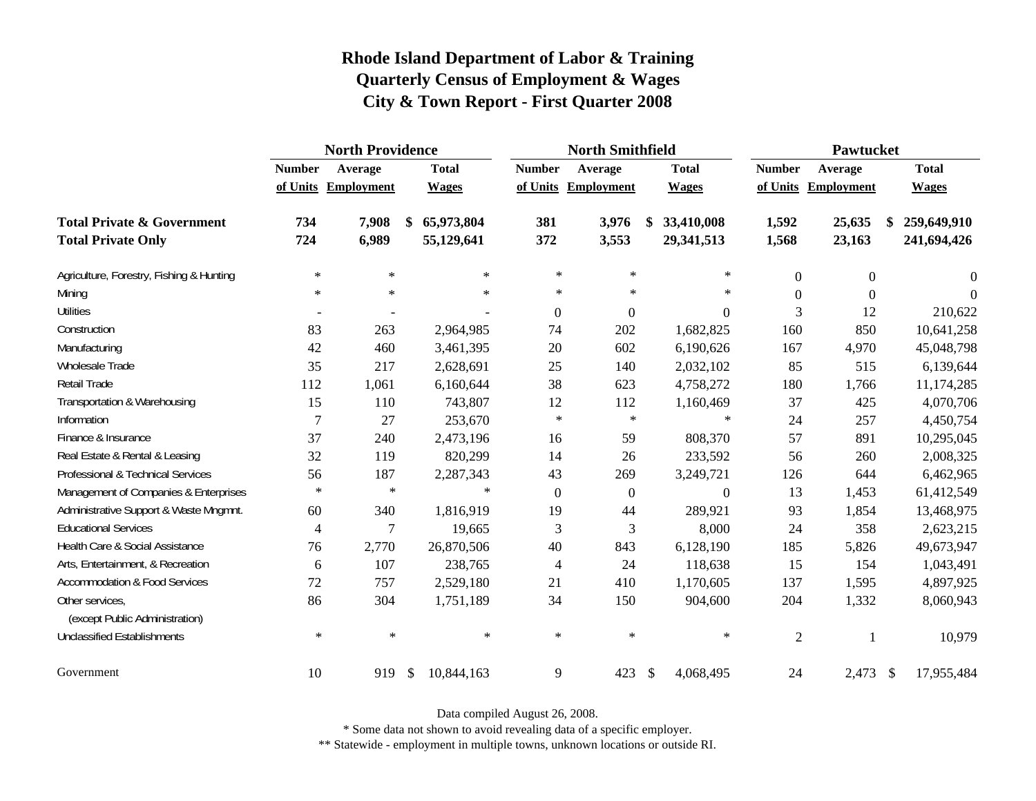|                                                   |                | <b>North Providence</b> |    |              | <b>North Smithfield</b> |                     |               |              | Pawtucket      |                     |                   |
|---------------------------------------------------|----------------|-------------------------|----|--------------|-------------------------|---------------------|---------------|--------------|----------------|---------------------|-------------------|
|                                                   | <b>Number</b>  | Average                 |    | <b>Total</b> | <b>Number</b>           | Average             |               | <b>Total</b> | <b>Number</b>  | Average             | <b>Total</b>      |
|                                                   |                | of Units Employment     |    | <b>Wages</b> |                         | of Units Employment |               | <b>Wages</b> |                | of Units Employment | <b>Wages</b>      |
| <b>Total Private &amp; Government</b>             | 734            | 7,908                   | \$ | 65,973,804   | 381                     | 3,976               | S             | 33,410,008   | 1,592          | 25,635              | \$<br>259,649,910 |
| <b>Total Private Only</b>                         | 724            | 6,989                   |    | 55,129,641   | 372                     | 3,553               |               | 29,341,513   | 1,568          | 23,163              | 241,694,426       |
| Agriculture, Forestry, Fishing & Hunting          | $\ast$         | $\ast$                  |    | $\ast$       | $\ast$                  | $\ast$              |               | $\ast$       | $\mathbf{0}$   | $\boldsymbol{0}$    | $\theta$          |
| Mining                                            | $\ast$         | $\ast$                  |    | $\ast$       | $\ast$                  | $\ast$              |               | $\ast$       | $\Omega$       | $\Omega$            | $\Omega$          |
| <b>Utilities</b>                                  |                |                         |    |              | $\theta$                | $\boldsymbol{0}$    |               | 0            | 3              | 12                  | 210,622           |
| Construction                                      | 83             | 263                     |    | 2,964,985    | 74                      | 202                 |               | 1,682,825    | 160            | 850                 | 10,641,258        |
| Manufacturing                                     | 42             | 460                     |    | 3,461,395    | 20                      | 602                 |               | 6,190,626    | 167            | 4,970               | 45,048,798        |
| Wholesale Trade                                   | 35             | 217                     |    | 2,628,691    | 25                      | 140                 |               | 2,032,102    | 85             | 515                 | 6,139,644         |
| Retail Trade                                      | 112            | 1,061                   |    | 6,160,644    | 38                      | 623                 |               | 4,758,272    | 180            | 1,766               | 11,174,285        |
| Transportation & Warehousing                      | 15             | 110                     |    | 743,807      | 12                      | 112                 |               | 1,160,469    | 37             | 425                 | 4,070,706         |
| Information                                       | $\overline{7}$ | 27                      |    | 253,670      | $\ast$                  | $\ast$              |               | $\ast$       | 24             | 257                 | 4,450,754         |
| Finance & Insurance                               | 37             | 240                     |    | 2,473,196    | 16                      | 59                  |               | 808,370      | 57             | 891                 | 10,295,045        |
| Real Estate & Rental & Leasing                    | 32             | 119                     |    | 820,299      | 14                      | 26                  |               | 233,592      | 56             | 260                 | 2,008,325         |
| Professional & Technical Services                 | 56             | 187                     |    | 2,287,343    | 43                      | 269                 |               | 3,249,721    | 126            | 644                 | 6,462,965         |
| Management of Companies & Enterprises             | $\ast$         | $\ast$                  |    | $\ast$       | $\overline{0}$          | $\boldsymbol{0}$    |               | $\Omega$     | 13             | 1,453               | 61,412,549        |
| Administrative Support & Waste Mngmnt.            | 60             | 340                     |    | 1,816,919    | 19                      | 44                  |               | 289,921      | 93             | 1,854               | 13,468,975        |
| <b>Educational Services</b>                       | 4              | 7                       |    | 19,665       | 3                       | 3                   |               | 8,000        | 24             | 358                 | 2,623,215         |
| Health Care & Social Assistance                   | 76             | 2,770                   |    | 26,870,506   | 40                      | 843                 |               | 6,128,190    | 185            | 5,826               | 49,673,947        |
| Arts, Entertainment, & Recreation                 | 6              | 107                     |    | 238,765      | $\overline{4}$          | 24                  |               | 118,638      | 15             | 154                 | 1,043,491         |
| Accommodation & Food Services                     | 72             | 757                     |    | 2,529,180    | 21                      | 410                 |               | 1,170,605    | 137            | 1,595               | 4,897,925         |
| Other services,<br>(except Public Administration) | 86             | 304                     |    | 1,751,189    | 34                      | 150                 |               | 904,600      | 204            | 1,332               | 8,060,943         |
| <b>Unclassified Establishments</b>                | $\ast$         | $\ast$                  |    | $\ast$       | $\ast$                  | $\ast$              |               | $\ast$       | $\overline{2}$ | $\mathbf{1}$        | 10,979            |
| Government                                        | 10             | 919                     | \$ | 10,844,163   | 9                       | 423                 | $\frac{1}{2}$ | 4,068,495    | 24             | $2,473$ \$          | 17,955,484        |

Data compiled August 26, 2008.

\* Some data not shown to avoid revealing data of a specific employer.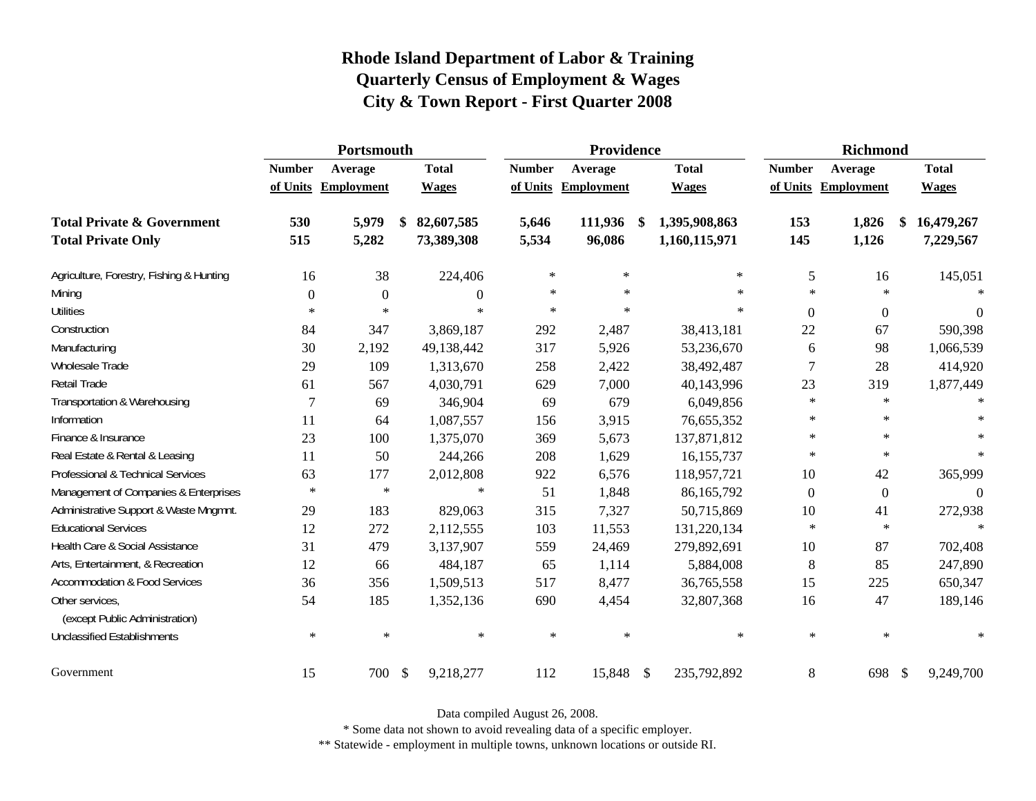|                                                   |               | Portsmouth          |               |                  | Providence    |                     |                     | <b>Richmond</b> |                     |               |                  |
|---------------------------------------------------|---------------|---------------------|---------------|------------------|---------------|---------------------|---------------------|-----------------|---------------------|---------------|------------------|
|                                                   | <b>Number</b> | Average             |               | <b>Total</b>     | <b>Number</b> | Average             | <b>Total</b>        | <b>Number</b>   | Average             |               | <b>Total</b>     |
|                                                   |               | of Units Employment |               | <b>Wages</b>     |               | of Units Employment | <b>Wages</b>        |                 | of Units Employment |               | <b>Wages</b>     |
| <b>Total Private &amp; Government</b>             | 530           | 5,979               | \$            | 82,607,585       | 5,646         | 111,936             | \$<br>1,395,908,863 | 153             | 1,826               |               | 16,479,267       |
| <b>Total Private Only</b>                         | 515           | 5,282               |               | 73,389,308       | 5,534         | 96,086              | 1,160,115,971       | 145             | 1,126               |               | 7,229,567        |
| Agriculture, Forestry, Fishing & Hunting          | 16            | 38                  |               | 224,406          | $\ast$        | $\ast$              | $\ast$              | 5               | 16                  |               | 145,051          |
| Mining                                            | $\theta$      | $\overline{0}$      |               | $\boldsymbol{0}$ | $\ast$        | $\ast$              | $\ast$              | $\ast$          | $\star$             |               | $\ast$           |
| <b>Utilities</b>                                  | $\ast$        | $\star$             |               | $\ast$           | $\ast$        | $\ast$              | $\ast$              | $\Omega$        | $\overline{0}$      |               | $\boldsymbol{0}$ |
| Construction                                      | 84            | 347                 |               | 3,869,187        | 292           | 2,487               | 38,413,181          | 22              | 67                  |               | 590,398          |
| Manufacturing                                     | 30            | 2,192               |               | 49,138,442       | 317           | 5,926               | 53,236,670          | 6               | 98                  |               | 1,066,539        |
| Wholesale Trade                                   | 29            | 109                 |               | 1,313,670        | 258           | 2,422               | 38,492,487          | $\overline{7}$  | 28                  |               | 414,920          |
| Retail Trade                                      | 61            | 567                 |               | 4,030,791        | 629           | 7,000               | 40,143,996          | 23              | 319                 |               | 1,877,449        |
| Transportation & Warehousing                      | 7             | 69                  |               | 346,904          | 69            | 679                 | 6,049,856           | $\ast$          | $\star$             |               | $\ast$           |
| Information                                       | 11            | 64                  |               | 1,087,557        | 156           | 3,915               | 76,655,352          | $\ast$          | $\ast$              |               |                  |
| Finance & Insurance                               | 23            | 100                 |               | 1,375,070        | 369           | 5,673               | 137,871,812         | $*$             | $\ast$              |               | $\ast$           |
| Real Estate & Rental & Leasing                    | 11            | 50                  |               | 244,266          | 208           | 1,629               | 16,155,737          | $\ast$          | $\ast$              |               | $\ast$           |
| Professional & Technical Services                 | 63            | 177                 |               | 2,012,808        | 922           | 6,576               | 118,957,721         | 10              | 42                  |               | 365,999          |
| Management of Companies & Enterprises             | $\ast$        | $\ast$              |               | $\ast$           | 51            | 1,848               | 86,165,792          | $\Omega$        | $\mathbf{0}$        |               | $\overline{0}$   |
| Administrative Support & Waste Mngmnt.            | 29            | 183                 |               | 829,063          | 315           | 7,327               | 50,715,869          | 10              | 41                  |               | 272,938          |
| <b>Educational Services</b>                       | 12            | 272                 |               | 2,112,555        | 103           | 11,553              | 131,220,134         | $\ast$          | $\ast$              |               | $\ast$           |
| Health Care & Social Assistance                   | 31            | 479                 |               | 3,137,907        | 559           | 24,469              | 279,892,691         | 10              | 87                  |               | 702,408          |
| Arts, Entertainment, & Recreation                 | 12            | 66                  |               | 484,187          | 65            | 1,114               | 5,884,008           | 8               | 85                  |               | 247,890          |
| <b>Accommodation &amp; Food Services</b>          | 36            | 356                 |               | 1,509,513        | 517           | 8,477               | 36,765,558          | 15              | 225                 |               | 650,347          |
| Other services,<br>(except Public Administration) | 54            | 185                 |               | 1,352,136        | 690           | 4,454               | 32,807,368          | 16              | 47                  |               | 189,146          |
| <b>Unclassified Establishments</b>                | $\ast$        | $\ast$              |               | $\ast$           | $\ast$        | $\ast$              | $\ast$              | $\ast$          | $\ast$              |               | $\ast$           |
| Government                                        | 15            | 700                 | $\mathcal{S}$ | 9,218,277        | 112           | 15,848 \$           | 235,792,892         | 8               | 698                 | $\mathcal{S}$ | 9,249,700        |

Data compiled August 26, 2008.

\* Some data not shown to avoid revealing data of a specific employer.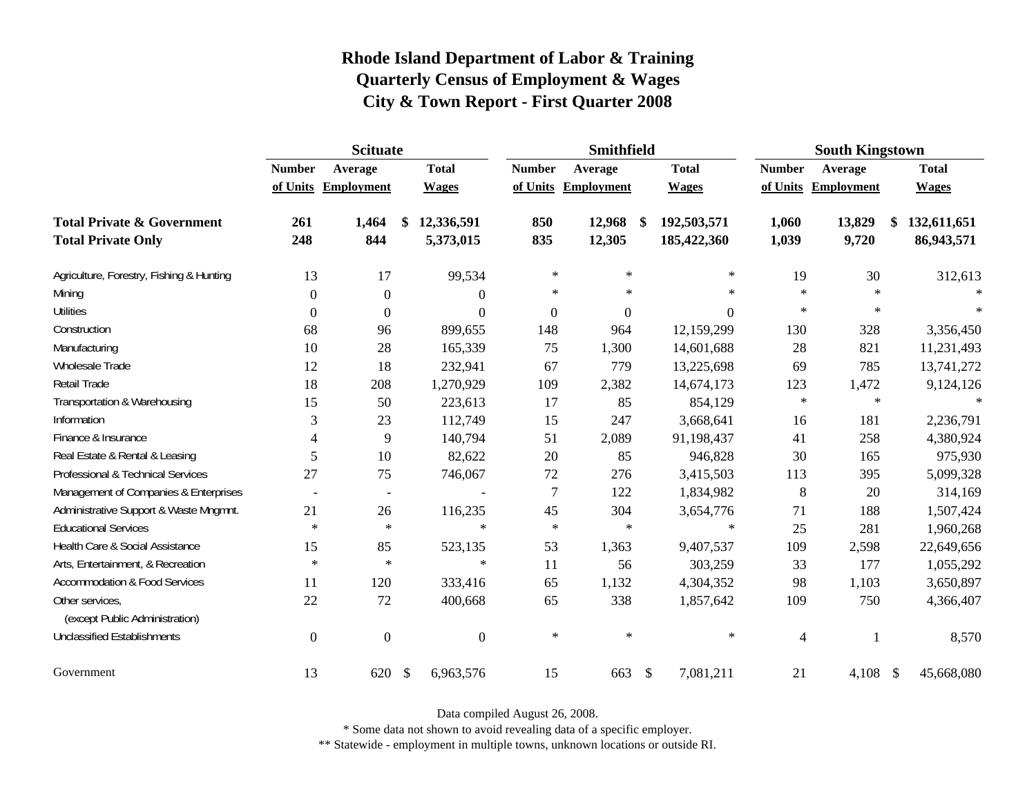|                                                   | <b>Scituate</b> |                          |                           |                  |                  | <b>Smithfield</b> |                   |               | <b>South Kingstown</b> |                   |
|---------------------------------------------------|-----------------|--------------------------|---------------------------|------------------|------------------|-------------------|-------------------|---------------|------------------------|-------------------|
|                                                   | <b>Number</b>   | Average                  |                           | <b>Total</b>     | <b>Number</b>    | Average           | <b>Total</b>      | <b>Number</b> | Average                | <b>Total</b>      |
|                                                   |                 | of Units Employment      |                           | <b>Wages</b>     | of Units         | <b>Employment</b> | <b>Wages</b>      |               | of Units Employment    | <b>Wages</b>      |
| <b>Total Private &amp; Government</b>             | 261             | 1,464                    | \$                        | 12,336,591       | 850              | 12,968            | \$<br>192,503,571 | 1,060         | 13,829                 | \$<br>132,611,651 |
| <b>Total Private Only</b>                         | 248             | 844                      |                           | 5,373,015        | 835              | 12,305            | 185,422,360       | 1,039         | 9,720                  | 86,943,571        |
| Agriculture, Forestry, Fishing & Hunting          | 13              | 17                       |                           | 99,534           | $\ast$           | $\ast$            | $\ast$            | 19            | 30                     | 312,613           |
| Mining                                            | $\Omega$        | $\theta$                 |                           | $\overline{0}$   | $\ast$           | $\ast$            | $\ast$            | $\ast$        | $\star$                |                   |
| <b>Utilities</b>                                  | $\overline{0}$  | $\Omega$                 |                           | $\boldsymbol{0}$ | $\boldsymbol{0}$ | $\boldsymbol{0}$  | $\boldsymbol{0}$  | $\ast$        | $\star$                | $\ast$            |
| Construction                                      | 68              | 96                       |                           | 899,655          | 148              | 964               | 12,159,299        | 130           | 328                    | 3,356,450         |
| Manufacturing                                     | 10              | 28                       |                           | 165,339          | 75               | 1,300             | 14,601,688        | 28            | 821                    | 11,231,493        |
| Wholesale Trade                                   | 12              | 18                       |                           | 232,941          | 67               | 779               | 13,225,698        | 69            | 785                    | 13,741,272        |
| Retail Trade                                      | 18              | 208                      |                           | 1,270,929        | 109              | 2,382             | 14,674,173        | 123           | 1,472                  | 9,124,126         |
| Transportation & Warehousing                      | 15              | 50                       |                           | 223,613          | 17               | 85                | 854,129           | $\ast$        | $\ast$                 | $\ast$            |
| Information                                       | 3               | 23                       |                           | 112,749          | 15               | 247               | 3,668,641         | 16            | 181                    | 2,236,791         |
| Finance & Insurance                               | 4               | 9                        |                           | 140,794          | 51               | 2,089             | 91,198,437        | 41            | 258                    | 4,380,924         |
| Real Estate & Rental & Leasing                    | 5               | 10                       |                           | 82,622           | $20\,$           | 85                | 946,828           | 30            | 165                    | 975,930           |
| Professional & Technical Services                 | 27              | 75                       |                           | 746,067          | 72               | 276               | 3,415,503         | 113           | 395                    | 5,099,328         |
| Management of Companies & Enterprises             | $\overline{a}$  | $\overline{\phantom{a}}$ |                           |                  | $\overline{7}$   | 122               | 1,834,982         | $\,8\,$       | 20                     | 314,169           |
| Administrative Support & Waste Mngmnt.            | 21              | 26                       |                           | 116,235          | 45               | 304               | 3,654,776         | 71            | 188                    | 1,507,424         |
| <b>Educational Services</b>                       | $\ast$          | $\ast$                   |                           | $\ast$           | $\ast$           | $\ast$            | $\ast$            | 25            | 281                    | 1,960,268         |
| Health Care & Social Assistance                   | 15              | 85                       |                           | 523,135          | 53               | 1,363             | 9,407,537         | 109           | 2,598                  | 22,649,656        |
| Arts, Entertainment, & Recreation                 | $\ast$          | $\ast$                   |                           | $\ast$           | 11               | 56                | 303,259           | 33            | 177                    | 1,055,292         |
| <b>Accommodation &amp; Food Services</b>          | 11              | 120                      |                           | 333,416          | 65               | 1,132             | 4,304,352         | 98            | 1,103                  | 3,650,897         |
| Other services,<br>(except Public Administration) | 22              | 72                       |                           | 400,668          | 65               | 338               | 1,857,642         | 109           | 750                    | 4,366,407         |
| <b>Unclassified Establishments</b>                | $\theta$        | $\overline{0}$           |                           | $\boldsymbol{0}$ | $\ast$           | $\ast$            | $\ast$            | 4             |                        | 8,570             |
| Government                                        | 13              | 620                      | $\boldsymbol{\mathsf{S}}$ | 6,963,576        | 15               | 663               | \$<br>7,081,211   | 21            | 4,108 \$               | 45,668,080        |

Data compiled August 26, 2008.

\* Some data not shown to avoid revealing data of a specific employer.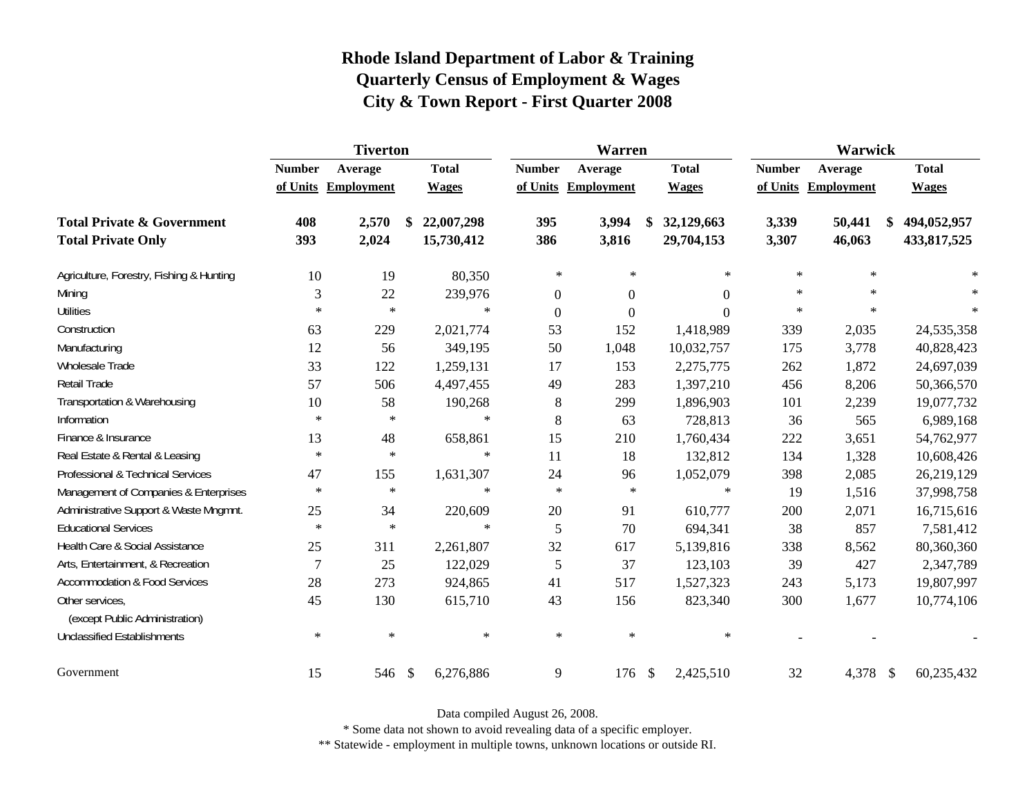|                                                   |                | <b>Tiverton</b>     |    |              | Warren           |                     |               |                | Warwick       |                     |                   |
|---------------------------------------------------|----------------|---------------------|----|--------------|------------------|---------------------|---------------|----------------|---------------|---------------------|-------------------|
|                                                   | <b>Number</b>  | Average             |    | <b>Total</b> | <b>Number</b>    | Average             |               | <b>Total</b>   | <b>Number</b> | Average             | <b>Total</b>      |
|                                                   |                | of Units Employment |    | <b>Wages</b> |                  | of Units Employment |               | <b>Wages</b>   |               | of Units Employment | <b>Wages</b>      |
| <b>Total Private &amp; Government</b>             | 408            | 2,570               | \$ | 22,007,298   | 395              | 3,994               | \$            | 32,129,663     | 3,339         | 50,441              | \$<br>494,052,957 |
| <b>Total Private Only</b>                         | 393            | 2,024               |    | 15,730,412   | 386              | 3,816               |               | 29,704,153     | 3,307         | 46,063              | 433,817,525       |
| Agriculture, Forestry, Fishing & Hunting          | 10             | 19                  |    | 80,350       | $\ast$           | ∗                   |               | $\ast$         | $\ast$        | $\ast$              | $\ast$            |
| Mining                                            | 3              | 22                  |    | 239,976      | $\theta$         | $\boldsymbol{0}$    |               | 0              | $\ast$        | $\star$             | $\ast$            |
| <b>Utilities</b>                                  | $\ast$         | $\ast$              |    | $\ast$       | $\boldsymbol{0}$ | $\boldsymbol{0}$    |               | $\overline{0}$ | $\star$       | $\star$             | $\ast$            |
| Construction                                      | 63             | 229                 |    | 2,021,774    | 53               | 152                 |               | 1,418,989      | 339           | 2,035               | 24,535,358        |
| Manufacturing                                     | 12             | 56                  |    | 349,195      | 50               | 1,048               |               | 10,032,757     | 175           | 3,778               | 40,828,423        |
| Wholesale Trade                                   | 33             | 122                 |    | 1,259,131    | 17               | 153                 |               | 2,275,775      | 262           | 1,872               | 24,697,039        |
| Retail Trade                                      | 57             | 506                 |    | 4,497,455    | 49               | 283                 |               | 1,397,210      | 456           | 8,206               | 50,366,570        |
| Transportation & Warehousing                      | 10             | 58                  |    | 190,268      | $8\phantom{1}$   | 299                 |               | 1,896,903      | 101           | 2,239               | 19,077,732        |
| Information                                       | $\ast$         | $\ast$              |    | $\ast$       | 8                | 63                  |               | 728,813        | 36            | 565                 | 6,989,168         |
| Finance & Insurance                               | 13             | 48                  |    | 658,861      | 15               | 210                 |               | 1,760,434      | 222           | 3,651               | 54,762,977        |
| Real Estate & Rental & Leasing                    | $\ast$         | $\ast$              |    | $\ast$       | 11               | 18                  |               | 132,812        | 134           | 1,328               | 10,608,426        |
| Professional & Technical Services                 | 47             | 155                 |    | 1,631,307    | 24               | 96                  |               | 1,052,079      | 398           | 2,085               | 26,219,129        |
| Management of Companies & Enterprises             | $\ast$         | $\ast$              |    | $\ast$       | $\ast$           | $\ast$              |               | $\ast$         | 19            | 1,516               | 37,998,758        |
| Administrative Support & Waste Mngmnt.            | 25             | 34                  |    | 220,609      | $20\,$           | 91                  |               | 610,777        | 200           | 2,071               | 16,715,616        |
| <b>Educational Services</b>                       | $\ast$         | $\ast$              |    | $\ast$       | 5                | 70                  |               | 694,341        | 38            | 857                 | 7,581,412         |
| Health Care & Social Assistance                   | 25             | 311                 |    | 2,261,807    | 32               | 617                 |               | 5,139,816      | 338           | 8,562               | 80,360,360        |
| Arts, Entertainment, & Recreation                 | $\overline{7}$ | 25                  |    | 122,029      | 5                | 37                  |               | 123,103        | 39            | 427                 | 2,347,789         |
| <b>Accommodation &amp; Food Services</b>          | 28             | 273                 |    | 924,865      | 41               | 517                 |               | 1,527,323      | 243           | 5,173               | 19,807,997        |
| Other services,<br>(except Public Administration) | 45             | 130                 |    | 615,710      | 43               | 156                 |               | 823,340        | 300           | 1,677               | 10,774,106        |
| <b>Unclassified Establishments</b>                | $\ast$         | $\ast$              |    | $\ast$       | $\ast$           | $\ast$              |               | $\ast$         |               |                     |                   |
| Government                                        | 15             | 546                 | \$ | 6,276,886    | 9                | 176                 | $\mathcal{S}$ | 2,425,510      | 32            | 4,378 \$            | 60,235,432        |

Data compiled August 26, 2008.

\* Some data not shown to avoid revealing data of a specific employer.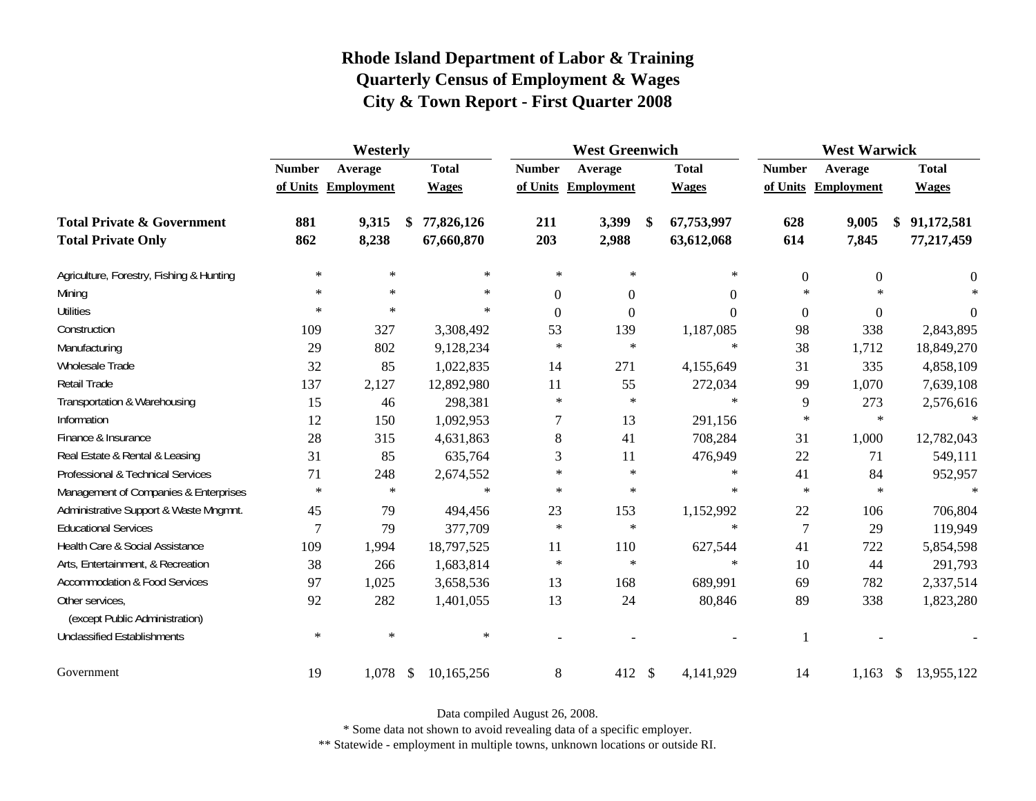|                                                   |               | Westerly            |               |              |                  | <b>West Greenwich</b> |    | <b>West Warwick</b> |                  |                     |               |              |
|---------------------------------------------------|---------------|---------------------|---------------|--------------|------------------|-----------------------|----|---------------------|------------------|---------------------|---------------|--------------|
|                                                   | <b>Number</b> | Average             |               | <b>Total</b> | <b>Number</b>    | Average               |    | <b>Total</b>        | <b>Number</b>    | Average             |               | <b>Total</b> |
|                                                   |               | of Units Employment |               | <b>Wages</b> |                  | of Units Employment   |    | <b>Wages</b>        |                  | of Units Employment |               | <b>Wages</b> |
| <b>Total Private &amp; Government</b>             | 881           | 9,315               | \$            | 77,826,126   | 211              | 3,399                 | \$ | 67,753,997          | 628              | 9,005               |               | 91,172,581   |
| <b>Total Private Only</b>                         | 862           | 8,238               |               | 67,660,870   | 203              | 2,988                 |    | 63,612,068          | 614              | 7,845               |               | 77,217,459   |
| Agriculture, Forestry, Fishing & Hunting          | $\ast$        | $\ast$              |               | $\ast$       | $\ast$           | ∗                     |    | $*$                 | $\boldsymbol{0}$ | $\overline{0}$      |               | $\theta$     |
| Mining                                            | $\ast$        | $\ast$              |               | $\ast$       | $\overline{0}$   | $\boldsymbol{0}$      |    | $\Omega$            | $\ast$           | $\star$             |               | $\ast$       |
| <b>Utilities</b>                                  | $\ast$        | $\ast$              |               | $\ast$       | $\boldsymbol{0}$ | $\boldsymbol{0}$      |    | $\Omega$            | $\boldsymbol{0}$ | $\overline{0}$      |               | $\theta$     |
| Construction                                      | 109           | 327                 |               | 3,308,492    | 53               | 139                   |    | 1,187,085           | 98               | 338                 |               | 2,843,895    |
| Manufacturing                                     | 29            | 802                 |               | 9,128,234    | $\ast$           | $\ast$                |    | $\ast$              | 38               | 1,712               |               | 18,849,270   |
| Wholesale Trade                                   | 32            | 85                  |               | 1,022,835    | 14               | 271                   |    | 4,155,649           | 31               | 335                 |               | 4,858,109    |
| Retail Trade                                      | 137           | 2,127               |               | 12,892,980   | 11               | 55                    |    | 272,034             | 99               | 1,070               |               | 7,639,108    |
| Transportation & Warehousing                      | 15            | 46                  |               | 298,381      | $\ast$           | $\ast$                |    | $\ast$              | 9                | 273                 |               | 2,576,616    |
| Information                                       | 12            | 150                 |               | 1,092,953    | 7                | 13                    |    | 291,156             | $\ast$           | $\ast$              |               | $\ast$       |
| Finance & Insurance                               | 28            | 315                 |               | 4,631,863    | 8                | 41                    |    | 708,284             | 31               | 1,000               |               | 12,782,043   |
| Real Estate & Rental & Leasing                    | 31            | 85                  |               | 635,764      | 3                | 11                    |    | 476,949             | 22               | 71                  |               | 549,111      |
| Professional & Technical Services                 | 71            | 248                 |               | 2,674,552    | $\ast$           | $\ast$                |    | $\ast$              | 41               | 84                  |               | 952,957      |
| Management of Companies & Enterprises             | $\ast$        | $\ast$              |               | $\ast$       | $\ast$           | $\ast$                |    | $\ast$              | $\ast$           | $\ast$              |               | $\ast$       |
| Administrative Support & Waste Mngmnt.            | 45            | 79                  |               | 494,456      | 23               | 153                   |    | 1,152,992           | 22               | 106                 |               | 706,804      |
| <b>Educational Services</b>                       | $\tau$        | 79                  |               | 377,709      | $\ast$           | $\ast$                |    | $\ast$              | $\overline{7}$   | 29                  |               | 119,949      |
| Health Care & Social Assistance                   | 109           | 1,994               |               | 18,797,525   | 11               | 110                   |    | 627,544             | 41               | 722                 |               | 5,854,598    |
| Arts, Entertainment, & Recreation                 | 38            | 266                 |               | 1,683,814    | $\ast$           | $\ast$                |    | $\ast$              | 10               | 44                  |               | 291,793      |
| <b>Accommodation &amp; Food Services</b>          | 97            | 1,025               |               | 3,658,536    | 13               | 168                   |    | 689,991             | 69               | 782                 |               | 2,337,514    |
| Other services,<br>(except Public Administration) | 92            | 282                 |               | 1,401,055    | 13               | 24                    |    | 80,846              | 89               | 338                 |               | 1,823,280    |
| <b>Unclassified Establishments</b>                | $\ast$        | $\ast$              |               | $\ast$       |                  |                       |    |                     | $\mathbf{1}$     |                     |               |              |
| Government                                        | 19            | 1,078               | $\mathcal{S}$ | 10,165,256   | $\,8\,$          | 412 \$                |    | 4,141,929           | 14               | 1,163               | $\mathcal{S}$ | 13,955,122   |

Data compiled August 26, 2008.

\* Some data not shown to avoid revealing data of a specific employer.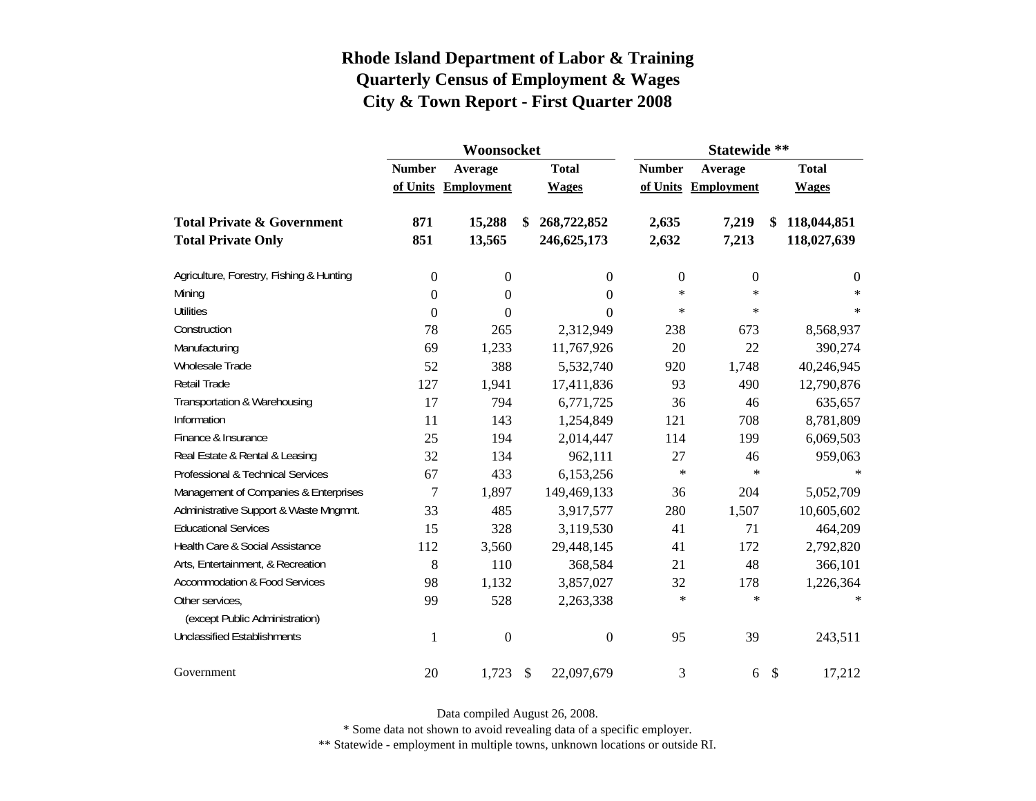|                                          |                          | Woonsocket          |                         |                  | Statewide **   |                     |               |                |  |  |  |
|------------------------------------------|--------------------------|---------------------|-------------------------|------------------|----------------|---------------------|---------------|----------------|--|--|--|
|                                          | <b>Number</b><br>Average |                     |                         | <b>Total</b>     | <b>Number</b>  | Average             |               | <b>Total</b>   |  |  |  |
|                                          |                          | of Units Employment |                         | <b>Wages</b>     |                | of Units Employment |               | <b>Wages</b>   |  |  |  |
| <b>Total Private &amp; Government</b>    | 871                      | 15,288              | \$                      | 268,722,852      | 2,635          | 7,219               | S             | 118,044,851    |  |  |  |
| <b>Total Private Only</b>                | 851                      | 13,565              |                         | 246, 625, 173    | 2,632          | 7,213               |               | 118,027,639    |  |  |  |
| Agriculture, Forestry, Fishing & Hunting | 0                        | $\boldsymbol{0}$    |                         | 0                | $\overline{0}$ | $\overline{0}$      |               | $\overline{0}$ |  |  |  |
| Mining                                   | $\boldsymbol{0}$         | $\boldsymbol{0}$    |                         | $\Omega$         | $\ast$         | $\ast$              |               | $\ast$         |  |  |  |
| <b>Utilities</b>                         | $\boldsymbol{0}$         | 0                   |                         | 0                | $\ast$         | $\ast$              |               | $\ast$         |  |  |  |
| Construction                             | 78                       | 265                 |                         | 2,312,949        | 238            | 673                 |               | 8,568,937      |  |  |  |
| Manufacturing                            | 69                       | 1,233               |                         | 11,767,926       | 20             | 22                  |               | 390,274        |  |  |  |
| <b>Wholesale Trade</b>                   | 52                       | 388                 |                         | 5,532,740        | 920            | 1,748               |               | 40,246,945     |  |  |  |
| <b>Retail Trade</b>                      | 127                      | 1,941               |                         | 17,411,836       | 93             | 490                 |               | 12,790,876     |  |  |  |
| Transportation & Warehousing             | 17                       | 794                 |                         | 6,771,725        | 36             | 46                  |               | 635,657        |  |  |  |
| Information                              | 11                       | 143                 |                         | 1,254,849        | 121            | 708                 |               | 8,781,809      |  |  |  |
| Finance & Insurance                      | 25                       | 194                 |                         | 2,014,447        | 114            | 199                 |               | 6,069,503      |  |  |  |
| Real Estate & Rental & Leasing           | 32                       | 134                 |                         | 962,111          | 27             | 46                  |               | 959,063        |  |  |  |
| Professional & Technical Services        | 67                       | 433                 |                         | 6,153,256        | $\ast$         | $\ast$              |               | $\ast$         |  |  |  |
| Management of Companies & Enterprises    | $\overline{7}$           | 1,897               |                         | 149,469,133      | 36             | 204                 |               | 5,052,709      |  |  |  |
| Administrative Support & Waste Mngmnt.   | 33                       | 485                 |                         | 3,917,577        | 280            | 1,507               |               | 10,605,602     |  |  |  |
| <b>Educational Services</b>              | 15                       | 328                 |                         | 3,119,530        | 41             | 71                  |               | 464,209        |  |  |  |
| Health Care & Social Assistance          | 112                      | 3,560               |                         | 29,448,145       | 41             | 172                 |               | 2,792,820      |  |  |  |
| Arts, Entertainment, & Recreation        | 8                        | 110                 |                         | 368,584          | 21             | 48                  |               | 366,101        |  |  |  |
| <b>Accommodation &amp; Food Services</b> | 98                       | 1,132               |                         | 3,857,027        | 32             | 178                 |               | 1,226,364      |  |  |  |
| Other services,                          | 99                       | 528                 |                         | 2,263,338        | $\ast$         | $\ast$              |               | $*$            |  |  |  |
| (except Public Administration)           |                          |                     |                         |                  |                |                     |               |                |  |  |  |
| <b>Unclassified Establishments</b>       | 1                        | $\boldsymbol{0}$    |                         | $\boldsymbol{0}$ | 95             | 39                  |               | 243,511        |  |  |  |
| Government                               | 20                       | 1,723               | $\sqrt[6]{\frac{1}{2}}$ | 22,097,679       | 3              | 6                   | $\mathcal{S}$ | 17,212         |  |  |  |

Data compiled August 26, 2008.

\* Some data not shown to avoid revealing data of a specific employer.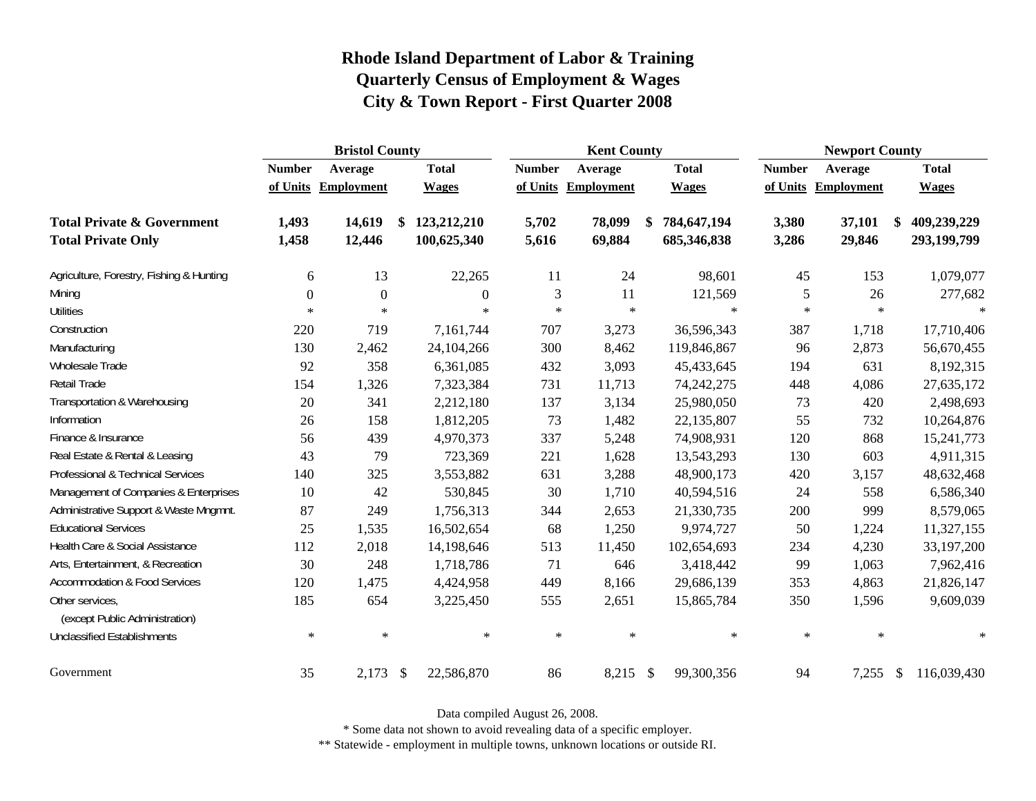|                                                   | <b>Bristol County</b> |              |                           |              |               | <b>Kent County</b>  |                   | <b>Newport County</b> |            |               |              |  |
|---------------------------------------------------|-----------------------|--------------|---------------------------|--------------|---------------|---------------------|-------------------|-----------------------|------------|---------------|--------------|--|
|                                                   | <b>Number</b>         | Average      |                           | <b>Total</b> | <b>Number</b> | Average             | <b>Total</b>      | <b>Number</b>         | Average    |               | <b>Total</b> |  |
|                                                   | of Units              | Employment   |                           | <b>Wages</b> |               | of Units Employment | <b>Wages</b>      | of Units              | Employment |               | <b>Wages</b> |  |
| <b>Total Private &amp; Government</b>             | 1,493                 | 14,619       | \$                        | 123,212,210  | 5,702         | 78,099              | \$<br>784,647,194 | 3,380                 | 37,101     |               | 409,239,229  |  |
| <b>Total Private Only</b>                         | 1,458                 | 12,446       |                           | 100,625,340  | 5,616         | 69,884              | 685,346,838       | 3,286                 | 29,846     |               | 293,199,799  |  |
| Agriculture, Forestry, Fishing & Hunting          | 6                     | 13           |                           | 22,265       | 11            | 24                  | 98,601            | 45                    | 153        |               | 1,079,077    |  |
| Mining                                            | $\theta$              | $\mathbf{0}$ |                           | $\theta$     | 3             | 11                  | 121,569           | 5                     | 26         |               | 277,682      |  |
| <b>Utilities</b>                                  | $\ast$                | $\ast$       |                           | $\ast$       | $\ast$        | $\ast$              | $\ast$            | $\ast$                | $\ast$     |               | $\mathbf{x}$ |  |
| Construction                                      | 220                   | 719          |                           | 7,161,744    | 707           | 3,273               | 36,596,343        | 387                   | 1,718      |               | 17,710,406   |  |
| Manufacturing                                     | 130                   | 2,462        |                           | 24,104,266   | 300           | 8,462               | 119,846,867       | 96                    | 2,873      |               | 56,670,455   |  |
| Wholesale Trade                                   | 92                    | 358          |                           | 6,361,085    | 432           | 3,093               | 45,433,645        | 194                   | 631        |               | 8,192,315    |  |
| Retail Trade                                      | 154                   | 1,326        |                           | 7,323,384    | 731           | 11,713              | 74, 242, 275      | 448                   | 4,086      |               | 27,635,172   |  |
| Transportation & Warehousing                      | 20                    | 341          |                           | 2,212,180    | 137           | 3,134               | 25,980,050        | 73                    | 420        |               | 2,498,693    |  |
| Information                                       | 26                    | 158          |                           | 1,812,205    | 73            | 1,482               | 22,135,807        | 55                    | 732        |               | 10,264,876   |  |
| Finance & Insurance                               | 56                    | 439          |                           | 4,970,373    | 337           | 5,248               | 74,908,931        | 120                   | 868        |               | 15,241,773   |  |
| Real Estate & Rental & Leasing                    | 43                    | 79           |                           | 723,369      | 221           | 1,628               | 13,543,293        | 130                   | 603        |               | 4,911,315    |  |
| Professional & Technical Services                 | 140                   | 325          |                           | 3,553,882    | 631           | 3,288               | 48,900,173        | 420                   | 3,157      |               | 48,632,468   |  |
| Management of Companies & Enterprises             | 10                    | 42           |                           | 530,845      | 30            | 1,710               | 40,594,516        | 24                    | 558        |               | 6,586,340    |  |
| Administrative Support & Waste Mngmnt.            | 87                    | 249          |                           | 1,756,313    | 344           | 2,653               | 21,330,735        | 200                   | 999        |               | 8,579,065    |  |
| <b>Educational Services</b>                       | 25                    | 1,535        |                           | 16,502,654   | 68            | 1,250               | 9,974,727         | 50                    | 1,224      |               | 11,327,155   |  |
| Health Care & Social Assistance                   | 112                   | 2,018        |                           | 14,198,646   | 513           | 11,450              | 102,654,693       | 234                   | 4,230      |               | 33,197,200   |  |
| Arts, Entertainment, & Recreation                 | 30                    | 248          |                           | 1,718,786    | 71            | 646                 | 3,418,442         | 99                    | 1,063      |               | 7,962,416    |  |
| <b>Accommodation &amp; Food Services</b>          | 120                   | 1,475        |                           | 4,424,958    | 449           | 8,166               | 29,686,139        | 353                   | 4,863      |               | 21,826,147   |  |
| Other services,<br>(except Public Administration) | 185                   | 654          |                           | 3,225,450    | 555           | 2,651               | 15,865,784        | 350                   | 1,596      |               | 9,609,039    |  |
| <b>Unclassified Establishments</b>                | $\ast$                | $\ast$       |                           | $\ast$       | $\ast$        | $\ast$              | $\ast$            | $\ast$                | $\ast$     |               | $\ast$       |  |
| Government                                        | 35                    | 2,173        | $\boldsymbol{\mathsf{S}}$ | 22,586,870   | 86            | 8,215 \$            | 99,300,356        | 94                    | 7,255      | $\mathcal{S}$ | 116,039,430  |  |

Data compiled August 26, 2008.

\* Some data not shown to avoid revealing data of a specific employer.